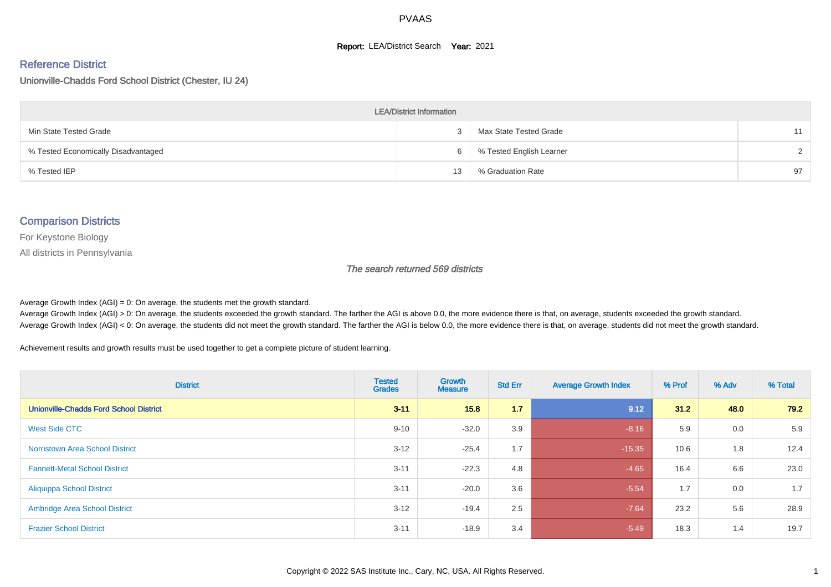#### **Report: LEA/District Search Year: 2021**

#### Reference District

Unionville-Chadds Ford School District (Chester, IU 24)

| <b>LEA/District Information</b>     |    |                          |    |  |  |  |  |  |  |  |
|-------------------------------------|----|--------------------------|----|--|--|--|--|--|--|--|
| Min State Tested Grade              |    | Max State Tested Grade   | 11 |  |  |  |  |  |  |  |
| % Tested Economically Disadvantaged | h  | % Tested English Learner |    |  |  |  |  |  |  |  |
| % Tested IEP                        | 13 | % Graduation Rate        | 97 |  |  |  |  |  |  |  |

#### Comparison Districts

For Keystone Biology

All districts in Pennsylvania

The search returned 569 districts

Average Growth Index  $(AGI) = 0$ : On average, the students met the growth standard.

Average Growth Index (AGI) > 0: On average, the students exceeded the growth standard. The farther the AGI is above 0.0, the more evidence there is that, on average, students exceeded the growth standard. Average Growth Index (AGI) < 0: On average, the students did not meet the growth standard. The farther the AGI is below 0.0, the more evidence there is that, on average, students did not meet the growth standard.

Achievement results and growth results must be used together to get a complete picture of student learning.

| <b>District</b>                               | <b>Tested</b><br><b>Grades</b> | Growth<br><b>Measure</b> | <b>Std Err</b> | <b>Average Growth Index</b> | % Prof | % Adv | % Total |
|-----------------------------------------------|--------------------------------|--------------------------|----------------|-----------------------------|--------|-------|---------|
| <b>Unionville-Chadds Ford School District</b> | $3 - 11$                       | 15.8                     | 1.7            | 9.12                        | 31.2   | 48.0  | 79.2    |
| West Side CTC                                 | $9 - 10$                       | $-32.0$                  | 3.9            | $-8.16$                     | 5.9    | 0.0   | 5.9     |
| <b>Norristown Area School District</b>        | $3 - 12$                       | $-25.4$                  | 1.7            | $-15.35$                    | 10.6   | 1.8   | 12.4    |
| <b>Fannett-Metal School District</b>          | $3 - 11$                       | $-22.3$                  | 4.8            | $-4.65$                     | 16.4   | 6.6   | 23.0    |
| <b>Aliquippa School District</b>              | $3 - 11$                       | $-20.0$                  | 3.6            | $-5.54$                     | 1.7    | 0.0   | 1.7     |
| <b>Ambridge Area School District</b>          | $3 - 12$                       | $-19.4$                  | 2.5            | $-7.64$                     | 23.2   | 5.6   | 28.9    |
| <b>Frazier School District</b>                | $3 - 11$                       | $-18.9$                  | 3.4            | $-5.49$                     | 18.3   | 1.4   | 19.7    |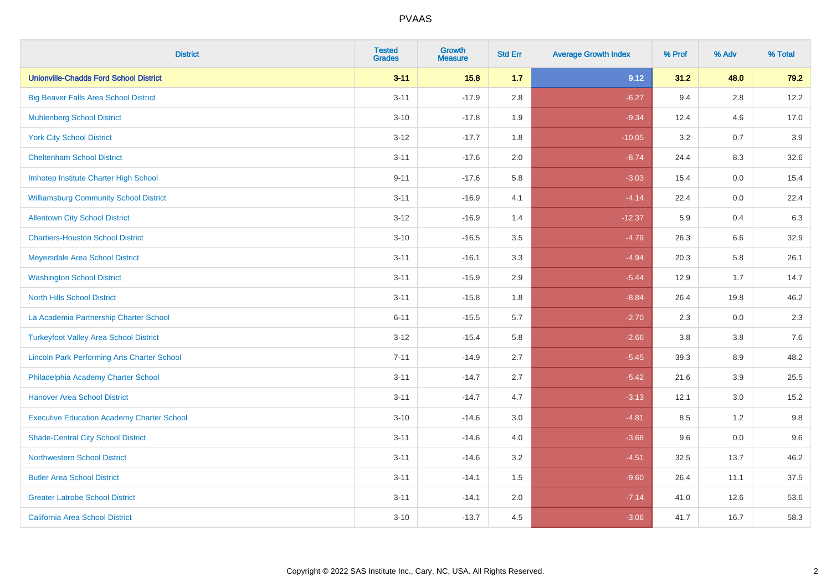| <b>District</b>                                    | <b>Tested</b><br><b>Grades</b> | Growth<br><b>Measure</b> | <b>Std Err</b> | <b>Average Growth Index</b> | % Prof | % Adv   | % Total |
|----------------------------------------------------|--------------------------------|--------------------------|----------------|-----------------------------|--------|---------|---------|
| <b>Unionville-Chadds Ford School District</b>      | $3 - 11$                       | $15.8$                   | 1.7            | 9.12                        | 31.2   | 48.0    | 79.2    |
| <b>Big Beaver Falls Area School District</b>       | $3 - 11$                       | $-17.9$                  | 2.8            | $-6.27$                     | 9.4    | 2.8     | 12.2    |
| <b>Muhlenberg School District</b>                  | $3 - 10$                       | $-17.8$                  | 1.9            | $-9.34$                     | 12.4   | 4.6     | 17.0    |
| <b>York City School District</b>                   | $3-12$                         | $-17.7$                  | 1.8            | $-10.05$                    | 3.2    | 0.7     | 3.9     |
| <b>Cheltenham School District</b>                  | $3 - 11$                       | $-17.6$                  | 2.0            | $-8.74$                     | 24.4   | 8.3     | 32.6    |
| Imhotep Institute Charter High School              | $9 - 11$                       | $-17.6$                  | 5.8            | $-3.03$                     | 15.4   | 0.0     | 15.4    |
| <b>Williamsburg Community School District</b>      | $3 - 11$                       | $-16.9$                  | 4.1            | $-4.14$                     | 22.4   | 0.0     | 22.4    |
| <b>Allentown City School District</b>              | $3 - 12$                       | $-16.9$                  | 1.4            | $-12.37$                    | 5.9    | 0.4     | 6.3     |
| <b>Chartiers-Houston School District</b>           | $3 - 10$                       | $-16.5$                  | 3.5            | $-4.79$                     | 26.3   | 6.6     | 32.9    |
| Meyersdale Area School District                    | $3 - 11$                       | $-16.1$                  | 3.3            | $-4.94$                     | 20.3   | 5.8     | 26.1    |
| <b>Washington School District</b>                  | $3 - 11$                       | $-15.9$                  | 2.9            | $-5.44$                     | 12.9   | 1.7     | 14.7    |
| <b>North Hills School District</b>                 | $3 - 11$                       | $-15.8$                  | 1.8            | $-8.84$                     | 26.4   | 19.8    | 46.2    |
| La Academia Partnership Charter School             | $6 - 11$                       | $-15.5$                  | 5.7            | $-2.70$                     | 2.3    | 0.0     | 2.3     |
| <b>Turkeyfoot Valley Area School District</b>      | $3 - 12$                       | $-15.4$                  | 5.8            | $-2.66$                     | 3.8    | $3.8\,$ | 7.6     |
| <b>Lincoln Park Performing Arts Charter School</b> | $7 - 11$                       | $-14.9$                  | 2.7            | $-5.45$                     | 39.3   | 8.9     | 48.2    |
| Philadelphia Academy Charter School                | $3 - 11$                       | $-14.7$                  | 2.7            | $-5.42$                     | 21.6   | 3.9     | 25.5    |
| <b>Hanover Area School District</b>                | $3 - 11$                       | $-14.7$                  | 4.7            | $-3.13$                     | 12.1   | 3.0     | 15.2    |
| <b>Executive Education Academy Charter School</b>  | $3 - 10$                       | $-14.6$                  | 3.0            | $-4.81$                     | 8.5    | 1.2     | 9.8     |
| <b>Shade-Central City School District</b>          | $3 - 11$                       | $-14.6$                  | 4.0            | $-3.68$                     | 9.6    | 0.0     | 9.6     |
| <b>Northwestern School District</b>                | $3 - 11$                       | $-14.6$                  | 3.2            | $-4.51$                     | 32.5   | 13.7    | 46.2    |
| <b>Butler Area School District</b>                 | $3 - 11$                       | $-14.1$                  | 1.5            | $-9.60$                     | 26.4   | 11.1    | 37.5    |
| <b>Greater Latrobe School District</b>             | $3 - 11$                       | $-14.1$                  | 2.0            | $-7.14$                     | 41.0   | 12.6    | 53.6    |
| <b>California Area School District</b>             | $3 - 10$                       | $-13.7$                  | 4.5            | $-3.06$                     | 41.7   | 16.7    | 58.3    |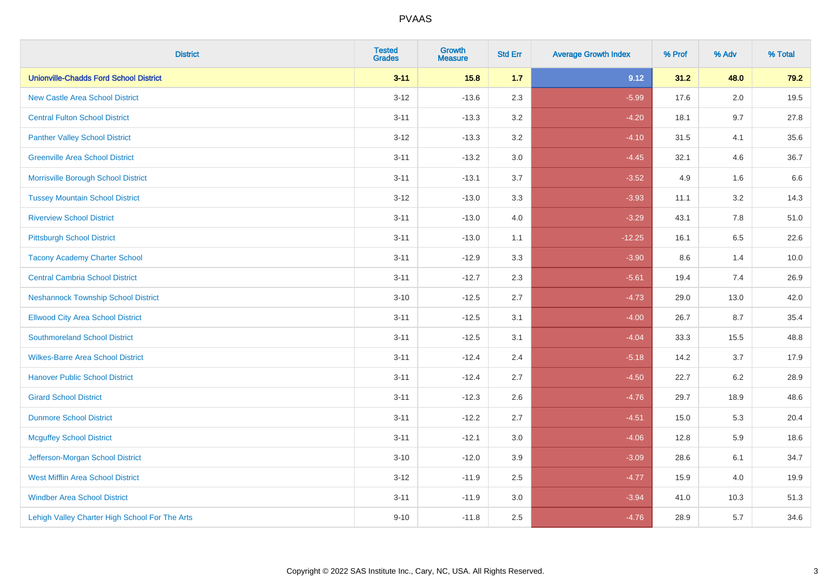| <b>District</b>                                | <b>Tested</b><br><b>Grades</b> | <b>Growth</b><br><b>Measure</b> | <b>Std Err</b> | <b>Average Growth Index</b> | % Prof | % Adv   | % Total |
|------------------------------------------------|--------------------------------|---------------------------------|----------------|-----------------------------|--------|---------|---------|
| <b>Unionville-Chadds Ford School District</b>  | $3 - 11$                       | 15.8                            | 1.7            | 9.12                        | 31.2   | 48.0    | 79.2    |
| <b>New Castle Area School District</b>         | $3 - 12$                       | $-13.6$                         | 2.3            | $-5.99$                     | 17.6   | $2.0\,$ | 19.5    |
| <b>Central Fulton School District</b>          | $3 - 11$                       | $-13.3$                         | 3.2            | $-4.20$                     | 18.1   | 9.7     | 27.8    |
| <b>Panther Valley School District</b>          | $3-12$                         | $-13.3$                         | 3.2            | $-4.10$                     | 31.5   | 4.1     | 35.6    |
| <b>Greenville Area School District</b>         | $3 - 11$                       | $-13.2$                         | 3.0            | $-4.45$                     | 32.1   | 4.6     | 36.7    |
| Morrisville Borough School District            | $3 - 11$                       | $-13.1$                         | 3.7            | $-3.52$                     | 4.9    | 1.6     | 6.6     |
| <b>Tussey Mountain School District</b>         | $3 - 12$                       | $-13.0$                         | 3.3            | $-3.93$                     | 11.1   | 3.2     | 14.3    |
| <b>Riverview School District</b>               | $3 - 11$                       | $-13.0$                         | 4.0            | $-3.29$                     | 43.1   | 7.8     | 51.0    |
| <b>Pittsburgh School District</b>              | $3 - 11$                       | $-13.0$                         | 1.1            | $-12.25$                    | 16.1   | 6.5     | 22.6    |
| <b>Tacony Academy Charter School</b>           | $3 - 11$                       | $-12.9$                         | 3.3            | $-3.90$                     | 8.6    | 1.4     | 10.0    |
| <b>Central Cambria School District</b>         | $3 - 11$                       | $-12.7$                         | 2.3            | $-5.61$                     | 19.4   | 7.4     | 26.9    |
| <b>Neshannock Township School District</b>     | $3 - 10$                       | $-12.5$                         | 2.7            | $-4.73$                     | 29.0   | 13.0    | 42.0    |
| <b>Ellwood City Area School District</b>       | $3 - 11$                       | $-12.5$                         | 3.1            | $-4.00$                     | 26.7   | 8.7     | 35.4    |
| <b>Southmoreland School District</b>           | $3 - 11$                       | $-12.5$                         | 3.1            | $-4.04$                     | 33.3   | 15.5    | 48.8    |
| <b>Wilkes-Barre Area School District</b>       | $3 - 11$                       | $-12.4$                         | 2.4            | $-5.18$                     | 14.2   | 3.7     | 17.9    |
| <b>Hanover Public School District</b>          | $3 - 11$                       | $-12.4$                         | 2.7            | $-4.50$                     | 22.7   | $6.2\,$ | 28.9    |
| <b>Girard School District</b>                  | $3 - 11$                       | $-12.3$                         | 2.6            | $-4.76$                     | 29.7   | 18.9    | 48.6    |
| <b>Dunmore School District</b>                 | $3 - 11$                       | $-12.2$                         | 2.7            | $-4.51$                     | 15.0   | 5.3     | 20.4    |
| <b>Mcguffey School District</b>                | $3 - 11$                       | $-12.1$                         | 3.0            | $-4.06$                     | 12.8   | 5.9     | 18.6    |
| Jefferson-Morgan School District               | $3 - 10$                       | $-12.0$                         | 3.9            | $-3.09$                     | 28.6   | 6.1     | 34.7    |
| <b>West Mifflin Area School District</b>       | $3-12$                         | $-11.9$                         | 2.5            | $-4.77$                     | 15.9   | 4.0     | 19.9    |
| <b>Windber Area School District</b>            | $3 - 11$                       | $-11.9$                         | 3.0            | $-3.94$                     | 41.0   | 10.3    | 51.3    |
| Lehigh Valley Charter High School For The Arts | $9 - 10$                       | $-11.8$                         | 2.5            | $-4.76$                     | 28.9   | 5.7     | 34.6    |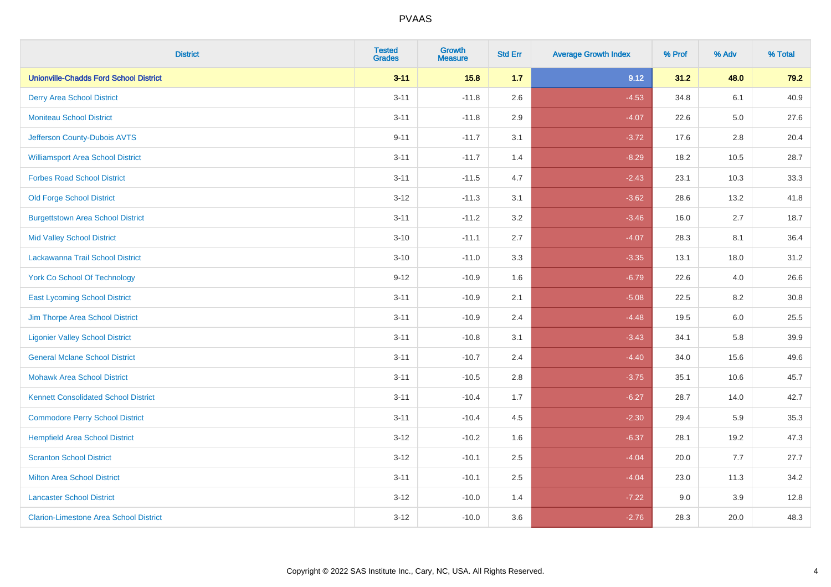| <b>District</b>                               | <b>Tested</b><br><b>Grades</b> | <b>Growth</b><br><b>Measure</b> | <b>Std Err</b> | <b>Average Growth Index</b> | % Prof | % Adv   | % Total |
|-----------------------------------------------|--------------------------------|---------------------------------|----------------|-----------------------------|--------|---------|---------|
| <b>Unionville-Chadds Ford School District</b> | $3 - 11$                       | 15.8                            | 1.7            | 9.12                        | 31.2   | 48.0    | 79.2    |
| <b>Derry Area School District</b>             | $3 - 11$                       | $-11.8$                         | 2.6            | $-4.53$                     | 34.8   | 6.1     | 40.9    |
| <b>Moniteau School District</b>               | $3 - 11$                       | $-11.8$                         | 2.9            | $-4.07$                     | 22.6   | $5.0\,$ | 27.6    |
| Jefferson County-Dubois AVTS                  | $9 - 11$                       | $-11.7$                         | 3.1            | $-3.72$                     | 17.6   | 2.8     | 20.4    |
| <b>Williamsport Area School District</b>      | $3 - 11$                       | $-11.7$                         | 1.4            | $-8.29$                     | 18.2   | 10.5    | 28.7    |
| <b>Forbes Road School District</b>            | $3 - 11$                       | $-11.5$                         | 4.7            | $-2.43$                     | 23.1   | 10.3    | 33.3    |
| <b>Old Forge School District</b>              | $3 - 12$                       | $-11.3$                         | 3.1            | $-3.62$                     | 28.6   | 13.2    | 41.8    |
| <b>Burgettstown Area School District</b>      | $3 - 11$                       | $-11.2$                         | 3.2            | $-3.46$                     | 16.0   | 2.7     | 18.7    |
| <b>Mid Valley School District</b>             | $3 - 10$                       | $-11.1$                         | 2.7            | $-4.07$                     | 28.3   | 8.1     | 36.4    |
| Lackawanna Trail School District              | $3 - 10$                       | $-11.0$                         | 3.3            | $-3.35$                     | 13.1   | 18.0    | 31.2    |
| <b>York Co School Of Technology</b>           | $9 - 12$                       | $-10.9$                         | 1.6            | $-6.79$                     | 22.6   | 4.0     | 26.6    |
| <b>East Lycoming School District</b>          | $3 - 11$                       | $-10.9$                         | 2.1            | $-5.08$                     | 22.5   | 8.2     | 30.8    |
| Jim Thorpe Area School District               | $3 - 11$                       | $-10.9$                         | 2.4            | $-4.48$                     | 19.5   | $6.0\,$ | 25.5    |
| <b>Ligonier Valley School District</b>        | $3 - 11$                       | $-10.8$                         | 3.1            | $-3.43$                     | 34.1   | 5.8     | 39.9    |
| <b>General Mclane School District</b>         | $3 - 11$                       | $-10.7$                         | 2.4            | $-4.40$                     | 34.0   | 15.6    | 49.6    |
| <b>Mohawk Area School District</b>            | $3 - 11$                       | $-10.5$                         | 2.8            | $-3.75$                     | 35.1   | 10.6    | 45.7    |
| <b>Kennett Consolidated School District</b>   | $3 - 11$                       | $-10.4$                         | 1.7            | $-6.27$                     | 28.7   | 14.0    | 42.7    |
| <b>Commodore Perry School District</b>        | $3 - 11$                       | $-10.4$                         | 4.5            | $-2.30$                     | 29.4   | 5.9     | 35.3    |
| <b>Hempfield Area School District</b>         | $3 - 12$                       | $-10.2$                         | 1.6            | $-6.37$                     | 28.1   | 19.2    | 47.3    |
| <b>Scranton School District</b>               | $3 - 12$                       | $-10.1$                         | 2.5            | $-4.04$                     | 20.0   | 7.7     | 27.7    |
| <b>Milton Area School District</b>            | $3 - 11$                       | $-10.1$                         | 2.5            | $-4.04$                     | 23.0   | 11.3    | 34.2    |
| <b>Lancaster School District</b>              | $3 - 12$                       | $-10.0$                         | 1.4            | $-7.22$                     | 9.0    | 3.9     | 12.8    |
| <b>Clarion-Limestone Area School District</b> | $3 - 12$                       | $-10.0$                         | 3.6            | $-2.76$                     | 28.3   | 20.0    | 48.3    |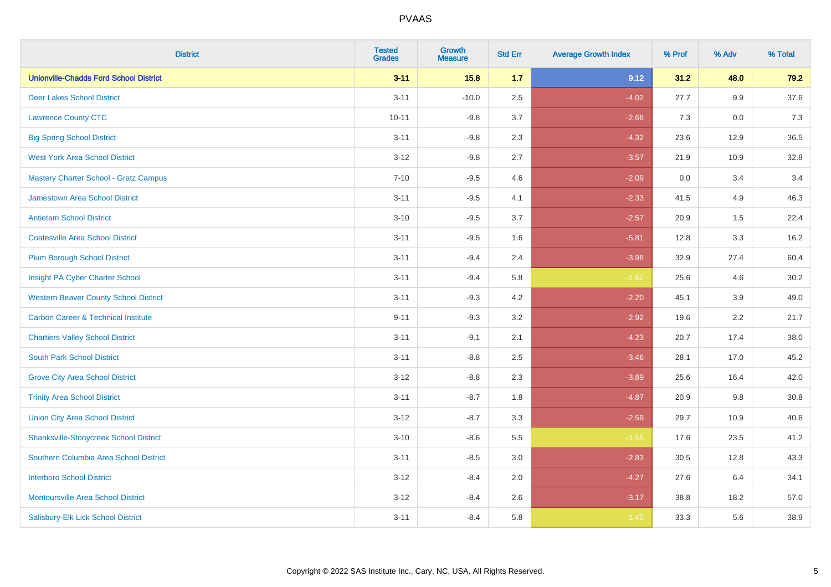| <b>District</b>                                | <b>Tested</b><br><b>Grades</b> | <b>Growth</b><br><b>Measure</b> | <b>Std Err</b> | <b>Average Growth Index</b> | % Prof | % Adv   | % Total |
|------------------------------------------------|--------------------------------|---------------------------------|----------------|-----------------------------|--------|---------|---------|
| <b>Unionville-Chadds Ford School District</b>  | $3 - 11$                       | 15.8                            | 1.7            | 9.12                        | 31.2   | 48.0    | 79.2    |
| <b>Deer Lakes School District</b>              | $3 - 11$                       | $-10.0$                         | 2.5            | $-4.02$                     | 27.7   | $9.9\,$ | 37.6    |
| <b>Lawrence County CTC</b>                     | $10 - 11$                      | $-9.8$                          | 3.7            | $-2.68$                     | 7.3    | 0.0     | 7.3     |
| <b>Big Spring School District</b>              | $3 - 11$                       | $-9.8$                          | 2.3            | $-4.32$                     | 23.6   | 12.9    | 36.5    |
| <b>West York Area School District</b>          | $3 - 12$                       | $-9.8$                          | 2.7            | $-3.57$                     | 21.9   | 10.9    | 32.8    |
| <b>Mastery Charter School - Gratz Campus</b>   | $7 - 10$                       | $-9.5$                          | 4.6            | $-2.09$                     | 0.0    | 3.4     | 3.4     |
| Jamestown Area School District                 | $3 - 11$                       | $-9.5$                          | 4.1            | $-2.33$                     | 41.5   | 4.9     | 46.3    |
| <b>Antietam School District</b>                | $3 - 10$                       | $-9.5$                          | 3.7            | $-2.57$                     | 20.9   | 1.5     | 22.4    |
| <b>Coatesville Area School District</b>        | $3 - 11$                       | $-9.5$                          | 1.6            | $-5.81$                     | 12.8   | 3.3     | 16.2    |
| <b>Plum Borough School District</b>            | $3 - 11$                       | $-9.4$                          | 2.4            | $-3.98$                     | 32.9   | 27.4    | 60.4    |
| Insight PA Cyber Charter School                | $3 - 11$                       | $-9.4$                          | 5.8            | $-1.62$                     | 25.6   | 4.6     | 30.2    |
| <b>Western Beaver County School District</b>   | $3 - 11$                       | $-9.3$                          | 4.2            | $-2.20$                     | 45.1   | 3.9     | 49.0    |
| <b>Carbon Career &amp; Technical Institute</b> | $9 - 11$                       | $-9.3$                          | 3.2            | $-2.92$                     | 19.6   | 2.2     | 21.7    |
| <b>Chartiers Valley School District</b>        | $3 - 11$                       | $-9.1$                          | 2.1            | $-4.23$                     | 20.7   | 17.4    | 38.0    |
| <b>South Park School District</b>              | $3 - 11$                       | $-8.8$                          | 2.5            | $-3.46$                     | 28.1   | 17.0    | 45.2    |
| <b>Grove City Area School District</b>         | $3-12$                         | $-8.8$                          | 2.3            | $-3.89$                     | 25.6   | 16.4    | 42.0    |
| <b>Trinity Area School District</b>            | $3 - 11$                       | $-8.7$                          | 1.8            | $-4.87$                     | 20.9   | 9.8     | 30.8    |
| <b>Union City Area School District</b>         | $3 - 12$                       | $-8.7$                          | 3.3            | $-2.59$                     | 29.7   | 10.9    | 40.6    |
| <b>Shanksville-Stonycreek School District</b>  | $3 - 10$                       | $-8.6$                          | 5.5            | $-1.55$                     | 17.6   | 23.5    | 41.2    |
| Southern Columbia Area School District         | $3 - 11$                       | $-8.5$                          | 3.0            | $-2.83$                     | 30.5   | 12.8    | 43.3    |
| <b>Interboro School District</b>               | $3 - 12$                       | $-8.4$                          | 2.0            | $-4.27$                     | 27.6   | 6.4     | 34.1    |
| <b>Montoursville Area School District</b>      | $3 - 12$                       | $-8.4$                          | 2.6            | $-3.17$                     | 38.8   | 18.2    | 57.0    |
| Salisbury-Elk Lick School District             | $3 - 11$                       | $-8.4$                          | 5.8            | $-1.45$                     | 33.3   | 5.6     | 38.9    |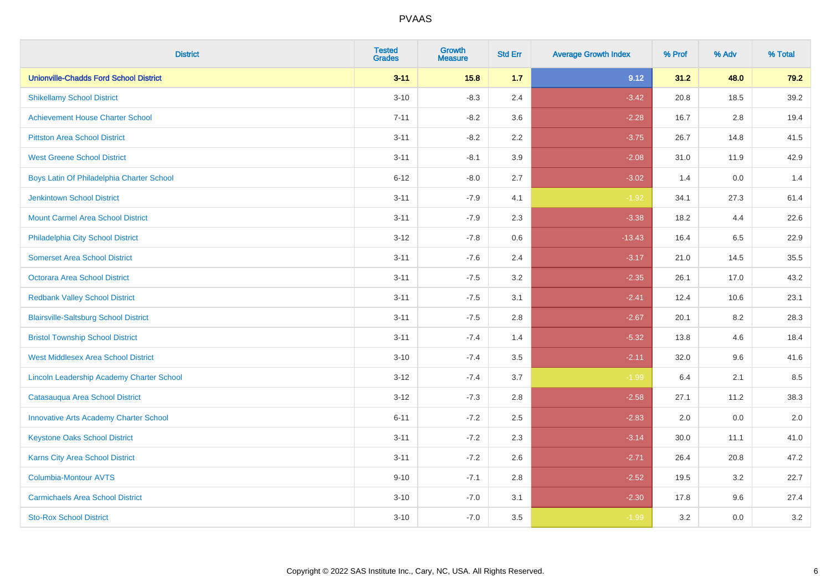| <b>District</b>                               | <b>Tested</b><br><b>Grades</b> | <b>Growth</b><br><b>Measure</b> | <b>Std Err</b> | <b>Average Growth Index</b> | % Prof | % Adv   | % Total |
|-----------------------------------------------|--------------------------------|---------------------------------|----------------|-----------------------------|--------|---------|---------|
| <b>Unionville-Chadds Ford School District</b> | $3 - 11$                       | 15.8                            | 1.7            | 9.12                        | 31.2   | 48.0    | 79.2    |
| <b>Shikellamy School District</b>             | $3 - 10$                       | $-8.3$                          | 2.4            | $-3.42$                     | 20.8   | 18.5    | 39.2    |
| <b>Achievement House Charter School</b>       | $7 - 11$                       | $-8.2$                          | 3.6            | $-2.28$                     | 16.7   | 2.8     | 19.4    |
| <b>Pittston Area School District</b>          | $3 - 11$                       | $-8.2$                          | 2.2            | $-3.75$                     | 26.7   | 14.8    | 41.5    |
| <b>West Greene School District</b>            | $3 - 11$                       | $-8.1$                          | 3.9            | $-2.08$                     | 31.0   | 11.9    | 42.9    |
| Boys Latin Of Philadelphia Charter School     | $6 - 12$                       | $-8.0$                          | 2.7            | $-3.02$                     | 1.4    | 0.0     | 1.4     |
| <b>Jenkintown School District</b>             | $3 - 11$                       | $-7.9$                          | 4.1            | $-1.92$                     | 34.1   | 27.3    | 61.4    |
| <b>Mount Carmel Area School District</b>      | $3 - 11$                       | $-7.9$                          | 2.3            | $-3.38$                     | 18.2   | 4.4     | 22.6    |
| Philadelphia City School District             | $3 - 12$                       | $-7.8$                          | 0.6            | $-13.43$                    | 16.4   | 6.5     | 22.9    |
| <b>Somerset Area School District</b>          | $3 - 11$                       | $-7.6$                          | 2.4            | $-3.17$                     | 21.0   | 14.5    | 35.5    |
| <b>Octorara Area School District</b>          | $3 - 11$                       | $-7.5$                          | 3.2            | $-2.35$                     | 26.1   | 17.0    | 43.2    |
| <b>Redbank Valley School District</b>         | $3 - 11$                       | $-7.5$                          | 3.1            | $-2.41$                     | 12.4   | 10.6    | 23.1    |
| <b>Blairsville-Saltsburg School District</b>  | $3 - 11$                       | $-7.5$                          | 2.8            | $-2.67$                     | 20.1   | $8.2\,$ | 28.3    |
| <b>Bristol Township School District</b>       | $3 - 11$                       | $-7.4$                          | 1.4            | $-5.32$                     | 13.8   | 4.6     | 18.4    |
| <b>West Middlesex Area School District</b>    | $3 - 10$                       | $-7.4$                          | 3.5            | $-2.11$                     | 32.0   | 9.6     | 41.6    |
| Lincoln Leadership Academy Charter School     | $3 - 12$                       | $-7.4$                          | 3.7            | $-1.99$                     | 6.4    | 2.1     | 8.5     |
| Catasauqua Area School District               | $3 - 12$                       | $-7.3$                          | 2.8            | $-2.58$                     | 27.1   | 11.2    | 38.3    |
| <b>Innovative Arts Academy Charter School</b> | $6 - 11$                       | $-7.2$                          | 2.5            | $-2.83$                     | 2.0    | 0.0     | 2.0     |
| <b>Keystone Oaks School District</b>          | $3 - 11$                       | $-7.2$                          | 2.3            | $-3.14$                     | 30.0   | 11.1    | 41.0    |
| Karns City Area School District               | $3 - 11$                       | $-7.2$                          | 2.6            | $-2.71$                     | 26.4   | 20.8    | 47.2    |
| <b>Columbia-Montour AVTS</b>                  | $9 - 10$                       | $-7.1$                          | 2.8            | $-2.52$                     | 19.5   | 3.2     | 22.7    |
| <b>Carmichaels Area School District</b>       | $3 - 10$                       | $-7.0$                          | 3.1            | $-2.30$                     | 17.8   | 9.6     | 27.4    |
| <b>Sto-Rox School District</b>                | $3 - 10$                       | $-7.0$                          | 3.5            | $-1.99$                     | 3.2    | 0.0     | 3.2     |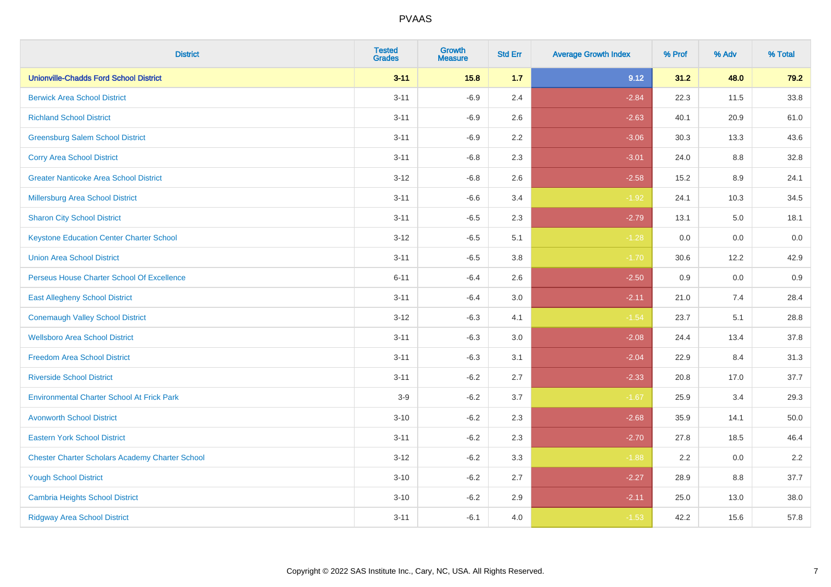| <b>District</b>                                        | <b>Tested</b><br><b>Grades</b> | <b>Growth</b><br><b>Measure</b> | <b>Std Err</b> | <b>Average Growth Index</b> | % Prof | % Adv   | % Total  |
|--------------------------------------------------------|--------------------------------|---------------------------------|----------------|-----------------------------|--------|---------|----------|
| <b>Unionville-Chadds Ford School District</b>          | $3 - 11$                       | 15.8                            | 1.7            | 9.12                        | 31.2   | 48.0    | 79.2     |
| <b>Berwick Area School District</b>                    | $3 - 11$                       | $-6.9$                          | 2.4            | $-2.84$                     | 22.3   | 11.5    | 33.8     |
| <b>Richland School District</b>                        | $3 - 11$                       | $-6.9$                          | 2.6            | $-2.63$                     | 40.1   | 20.9    | 61.0     |
| <b>Greensburg Salem School District</b>                | $3 - 11$                       | $-6.9$                          | 2.2            | $-3.06$                     | 30.3   | 13.3    | 43.6     |
| <b>Corry Area School District</b>                      | $3 - 11$                       | $-6.8$                          | 2.3            | $-3.01$                     | 24.0   | 8.8     | 32.8     |
| <b>Greater Nanticoke Area School District</b>          | $3 - 12$                       | $-6.8$                          | 2.6            | $-2.58$                     | 15.2   | $8.9\,$ | 24.1     |
| Millersburg Area School District                       | $3 - 11$                       | $-6.6$                          | 3.4            | $-1.92$                     | 24.1   | 10.3    | 34.5     |
| <b>Sharon City School District</b>                     | $3 - 11$                       | $-6.5$                          | 2.3            | $-2.79$                     | 13.1   | 5.0     | 18.1     |
| <b>Keystone Education Center Charter School</b>        | $3 - 12$                       | $-6.5$                          | 5.1            | $-1.28$                     | 0.0    | 0.0     | $0.0\,$  |
| <b>Union Area School District</b>                      | $3 - 11$                       | $-6.5$                          | 3.8            | $-1.70$                     | 30.6   | 12.2    | 42.9     |
| Perseus House Charter School Of Excellence             | $6 - 11$                       | $-6.4$                          | 2.6            | $-2.50$                     | 0.9    | 0.0     | 0.9      |
| <b>East Allegheny School District</b>                  | $3 - 11$                       | $-6.4$                          | 3.0            | $-2.11$                     | 21.0   | 7.4     | 28.4     |
| <b>Conemaugh Valley School District</b>                | $3 - 12$                       | $-6.3$                          | 4.1            | $-1.54$                     | 23.7   | 5.1     | 28.8     |
| <b>Wellsboro Area School District</b>                  | $3 - 11$                       | $-6.3$                          | 3.0            | $-2.08$                     | 24.4   | 13.4    | 37.8     |
| <b>Freedom Area School District</b>                    | $3 - 11$                       | $-6.3$                          | 3.1            | $-2.04$                     | 22.9   | 8.4     | 31.3     |
| <b>Riverside School District</b>                       | $3 - 11$                       | $-6.2$                          | 2.7            | $-2.33$                     | 20.8   | 17.0    | 37.7     |
| <b>Environmental Charter School At Frick Park</b>      | $3-9$                          | $-6.2$                          | 3.7            | $-1.67$                     | 25.9   | 3.4     | 29.3     |
| <b>Avonworth School District</b>                       | $3 - 10$                       | $-6.2$                          | 2.3            | $-2.68$                     | 35.9   | 14.1    | $50.0\,$ |
| <b>Eastern York School District</b>                    | $3 - 11$                       | $-6.2$                          | 2.3            | $-2.70$                     | 27.8   | 18.5    | 46.4     |
| <b>Chester Charter Scholars Academy Charter School</b> | $3 - 12$                       | $-6.2$                          | 3.3            | $-1.88$                     | 2.2    | 0.0     | 2.2      |
| <b>Yough School District</b>                           | $3 - 10$                       | $-6.2$                          | 2.7            | $-2.27$                     | 28.9   | 8.8     | 37.7     |
| <b>Cambria Heights School District</b>                 | $3 - 10$                       | $-6.2$                          | 2.9            | $-2.11$                     | 25.0   | 13.0    | 38.0     |
| <b>Ridgway Area School District</b>                    | $3 - 11$                       | $-6.1$                          | 4.0            | $-1.53$                     | 42.2   | 15.6    | 57.8     |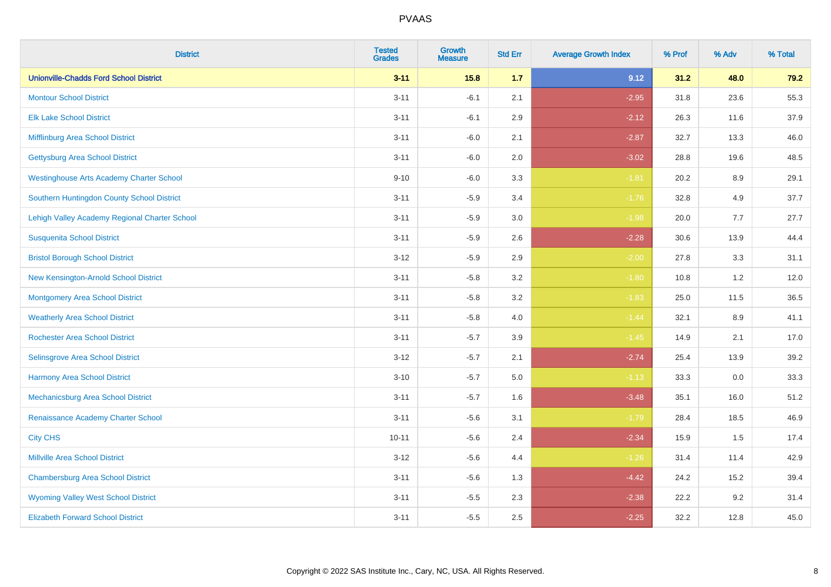| <b>District</b>                                 | <b>Tested</b><br><b>Grades</b> | <b>Growth</b><br><b>Measure</b> | <b>Std Err</b> | <b>Average Growth Index</b> | % Prof | % Adv | % Total |
|-------------------------------------------------|--------------------------------|---------------------------------|----------------|-----------------------------|--------|-------|---------|
| <b>Unionville-Chadds Ford School District</b>   | $3 - 11$                       | 15.8                            | 1.7            | 9.12                        | 31.2   | 48.0  | 79.2    |
| <b>Montour School District</b>                  | $3 - 11$                       | $-6.1$                          | 2.1            | $-2.95$                     | 31.8   | 23.6  | 55.3    |
| <b>Elk Lake School District</b>                 | $3 - 11$                       | $-6.1$                          | 2.9            | $-2.12$                     | 26.3   | 11.6  | 37.9    |
| Mifflinburg Area School District                | $3 - 11$                       | $-6.0$                          | 2.1            | $-2.87$                     | 32.7   | 13.3  | 46.0    |
| <b>Gettysburg Area School District</b>          | $3 - 11$                       | $-6.0$                          | 2.0            | $-3.02$                     | 28.8   | 19.6  | 48.5    |
| <b>Westinghouse Arts Academy Charter School</b> | $9 - 10$                       | $-6.0$                          | 3.3            | $-1.81$                     | 20.2   | 8.9   | 29.1    |
| Southern Huntingdon County School District      | $3 - 11$                       | $-5.9$                          | 3.4            | $-1.76$                     | 32.8   | 4.9   | 37.7    |
| Lehigh Valley Academy Regional Charter School   | $3 - 11$                       | $-5.9$                          | 3.0            | $-1.98$                     | 20.0   | 7.7   | 27.7    |
| <b>Susquenita School District</b>               | $3 - 11$                       | $-5.9$                          | 2.6            | $-2.28$                     | 30.6   | 13.9  | 44.4    |
| <b>Bristol Borough School District</b>          | $3 - 12$                       | $-5.9$                          | 2.9            | $-2.00$                     | 27.8   | 3.3   | 31.1    |
| New Kensington-Arnold School District           | $3 - 11$                       | $-5.8$                          | 3.2            | $-1.80$                     | 10.8   | 1.2   | 12.0    |
| <b>Montgomery Area School District</b>          | $3 - 11$                       | $-5.8$                          | 3.2            | $-1.83$                     | 25.0   | 11.5  | 36.5    |
| <b>Weatherly Area School District</b>           | $3 - 11$                       | $-5.8$                          | 4.0            | $-1.44$                     | 32.1   | 8.9   | 41.1    |
| <b>Rochester Area School District</b>           | $3 - 11$                       | $-5.7$                          | 3.9            | $-1.45$                     | 14.9   | 2.1   | 17.0    |
| <b>Selinsgrove Area School District</b>         | $3 - 12$                       | $-5.7$                          | 2.1            | $-2.74$                     | 25.4   | 13.9  | 39.2    |
| <b>Harmony Area School District</b>             | $3 - 10$                       | $-5.7$                          | 5.0            | $-1.13$                     | 33.3   | 0.0   | 33.3    |
| Mechanicsburg Area School District              | $3 - 11$                       | $-5.7$                          | 1.6            | $-3.48$                     | 35.1   | 16.0  | 51.2    |
| Renaissance Academy Charter School              | $3 - 11$                       | $-5.6$                          | 3.1            | $-1.79$                     | 28.4   | 18.5  | 46.9    |
| <b>City CHS</b>                                 | $10 - 11$                      | $-5.6$                          | 2.4            | $-2.34$                     | 15.9   | 1.5   | 17.4    |
| <b>Millville Area School District</b>           | $3-12$                         | $-5.6$                          | 4.4            | $-1.26$                     | 31.4   | 11.4  | 42.9    |
| <b>Chambersburg Area School District</b>        | $3 - 11$                       | $-5.6$                          | 1.3            | $-4.42$                     | 24.2   | 15.2  | 39.4    |
| <b>Wyoming Valley West School District</b>      | $3 - 11$                       | $-5.5$                          | 2.3            | $-2.38$                     | 22.2   | 9.2   | 31.4    |
| <b>Elizabeth Forward School District</b>        | $3 - 11$                       | $-5.5$                          | 2.5            | $-2.25$                     | 32.2   | 12.8  | 45.0    |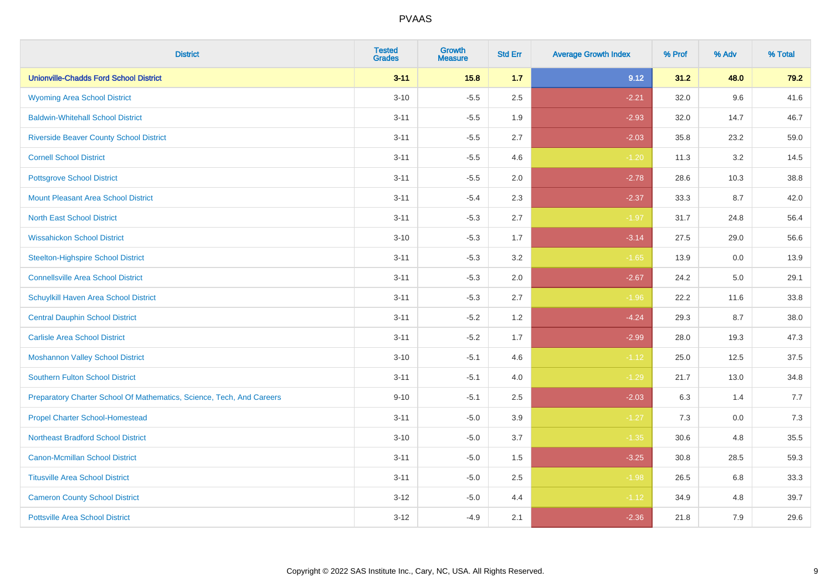| <b>District</b>                                                       | <b>Tested</b><br><b>Grades</b> | Growth<br><b>Measure</b> | <b>Std Err</b> | <b>Average Growth Index</b> | % Prof | % Adv | % Total |
|-----------------------------------------------------------------------|--------------------------------|--------------------------|----------------|-----------------------------|--------|-------|---------|
| <b>Unionville-Chadds Ford School District</b>                         | $3 - 11$                       | 15.8                     | 1.7            | 9.12                        | 31.2   | 48.0  | 79.2    |
| <b>Wyoming Area School District</b>                                   | $3 - 10$                       | $-5.5$                   | 2.5            | $-2.21$                     | 32.0   | 9.6   | 41.6    |
| <b>Baldwin-Whitehall School District</b>                              | $3 - 11$                       | $-5.5$                   | 1.9            | $-2.93$                     | 32.0   | 14.7  | 46.7    |
| <b>Riverside Beaver County School District</b>                        | $3 - 11$                       | $-5.5$                   | 2.7            | $-2.03$                     | 35.8   | 23.2  | 59.0    |
| <b>Cornell School District</b>                                        | $3 - 11$                       | $-5.5$                   | 4.6            | $-1.20$                     | 11.3   | 3.2   | 14.5    |
| <b>Pottsgrove School District</b>                                     | $3 - 11$                       | $-5.5$                   | 2.0            | $-2.78$                     | 28.6   | 10.3  | 38.8    |
| <b>Mount Pleasant Area School District</b>                            | $3 - 11$                       | $-5.4$                   | 2.3            | $-2.37$                     | 33.3   | 8.7   | 42.0    |
| <b>North East School District</b>                                     | $3 - 11$                       | $-5.3$                   | 2.7            | $-1.97$                     | 31.7   | 24.8  | 56.4    |
| <b>Wissahickon School District</b>                                    | $3 - 10$                       | $-5.3$                   | 1.7            | $-3.14$                     | 27.5   | 29.0  | 56.6    |
| <b>Steelton-Highspire School District</b>                             | $3 - 11$                       | $-5.3$                   | 3.2            | $-1.65$                     | 13.9   | 0.0   | 13.9    |
| <b>Connellsville Area School District</b>                             | $3 - 11$                       | $-5.3$                   | 2.0            | $-2.67$                     | 24.2   | 5.0   | 29.1    |
| Schuylkill Haven Area School District                                 | $3 - 11$                       | $-5.3$                   | 2.7            | $-1.96$                     | 22.2   | 11.6  | 33.8    |
| <b>Central Dauphin School District</b>                                | $3 - 11$                       | $-5.2$                   | 1.2            | $-4.24$                     | 29.3   | 8.7   | 38.0    |
| <b>Carlisle Area School District</b>                                  | $3 - 11$                       | $-5.2$                   | 1.7            | $-2.99$                     | 28.0   | 19.3  | 47.3    |
| <b>Moshannon Valley School District</b>                               | $3 - 10$                       | $-5.1$                   | 4.6            | $-1.12$                     | 25.0   | 12.5  | 37.5    |
| <b>Southern Fulton School District</b>                                | $3 - 11$                       | $-5.1$                   | 4.0            | $-1.29$                     | 21.7   | 13.0  | 34.8    |
| Preparatory Charter School Of Mathematics, Science, Tech, And Careers | $9 - 10$                       | $-5.1$                   | 2.5            | $-2.03$                     | 6.3    | 1.4   | 7.7     |
| <b>Propel Charter School-Homestead</b>                                | $3 - 11$                       | $-5.0$                   | 3.9            | $-1.27$                     | 7.3    | 0.0   | 7.3     |
| <b>Northeast Bradford School District</b>                             | $3 - 10$                       | $-5.0$                   | 3.7            | $-1.35$                     | 30.6   | 4.8   | 35.5    |
| <b>Canon-Mcmillan School District</b>                                 | $3 - 11$                       | $-5.0$                   | 1.5            | $-3.25$                     | 30.8   | 28.5  | 59.3    |
| <b>Titusville Area School District</b>                                | $3 - 11$                       | $-5.0$                   | 2.5            | $-1.98$                     | 26.5   | 6.8   | 33.3    |
| <b>Cameron County School District</b>                                 | $3-12$                         | $-5.0$                   | 4.4            | $-1.12$                     | 34.9   | 4.8   | 39.7    |
| <b>Pottsville Area School District</b>                                | $3 - 12$                       | $-4.9$                   | 2.1            | $-2.36$                     | 21.8   | 7.9   | 29.6    |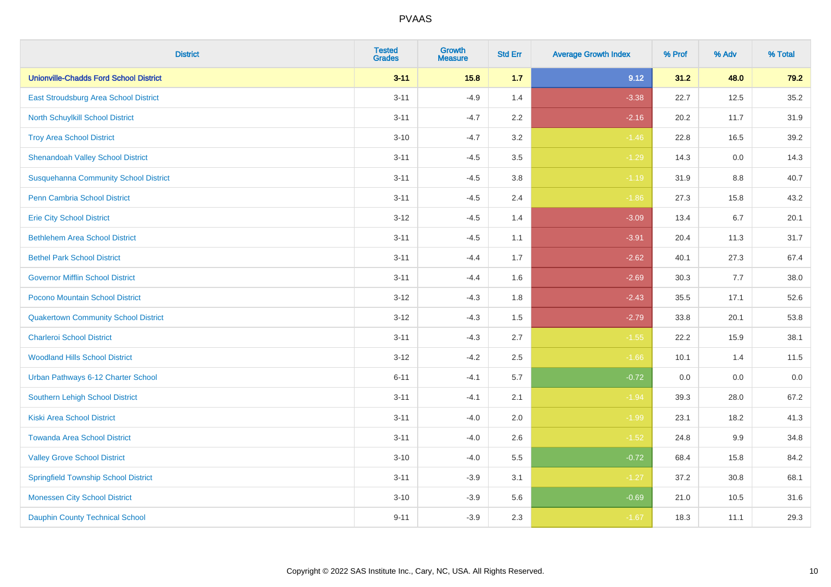| <b>District</b>                               | <b>Tested</b><br><b>Grades</b> | <b>Growth</b><br><b>Measure</b> | <b>Std Err</b> | <b>Average Growth Index</b> | % Prof | % Adv | % Total |
|-----------------------------------------------|--------------------------------|---------------------------------|----------------|-----------------------------|--------|-------|---------|
| <b>Unionville-Chadds Ford School District</b> | $3 - 11$                       | 15.8                            | 1.7            | 9.12                        | 31.2   | 48.0  | 79.2    |
| East Stroudsburg Area School District         | $3 - 11$                       | $-4.9$                          | 1.4            | $-3.38$                     | 22.7   | 12.5  | 35.2    |
| <b>North Schuylkill School District</b>       | $3 - 11$                       | $-4.7$                          | 2.2            | $-2.16$                     | 20.2   | 11.7  | 31.9    |
| <b>Troy Area School District</b>              | $3 - 10$                       | $-4.7$                          | 3.2            | $-1.46$                     | 22.8   | 16.5  | 39.2    |
| <b>Shenandoah Valley School District</b>      | $3 - 11$                       | $-4.5$                          | 3.5            | $-1.29$                     | 14.3   | 0.0   | 14.3    |
| <b>Susquehanna Community School District</b>  | $3 - 11$                       | $-4.5$                          | 3.8            | $-1.19$                     | 31.9   | 8.8   | 40.7    |
| <b>Penn Cambria School District</b>           | $3 - 11$                       | $-4.5$                          | 2.4            | $-1.86$                     | 27.3   | 15.8  | 43.2    |
| <b>Erie City School District</b>              | $3 - 12$                       | $-4.5$                          | 1.4            | $-3.09$                     | 13.4   | 6.7   | 20.1    |
| <b>Bethlehem Area School District</b>         | $3 - 11$                       | $-4.5$                          | 1.1            | $-3.91$                     | 20.4   | 11.3  | 31.7    |
| <b>Bethel Park School District</b>            | $3 - 11$                       | $-4.4$                          | 1.7            | $-2.62$                     | 40.1   | 27.3  | 67.4    |
| <b>Governor Mifflin School District</b>       | $3 - 11$                       | $-4.4$                          | 1.6            | $-2.69$                     | 30.3   | 7.7   | 38.0    |
| Pocono Mountain School District               | $3 - 12$                       | $-4.3$                          | 1.8            | $-2.43$                     | 35.5   | 17.1  | 52.6    |
| <b>Quakertown Community School District</b>   | $3 - 12$                       | $-4.3$                          | 1.5            | $-2.79$                     | 33.8   | 20.1  | 53.8    |
| <b>Charleroi School District</b>              | $3 - 11$                       | $-4.3$                          | 2.7            | $-1.55$                     | 22.2   | 15.9  | 38.1    |
| <b>Woodland Hills School District</b>         | $3 - 12$                       | $-4.2$                          | 2.5            | $-1.66$                     | 10.1   | 1.4   | 11.5    |
| Urban Pathways 6-12 Charter School            | $6 - 11$                       | $-4.1$                          | 5.7            | $-0.72$                     | 0.0    | 0.0   | 0.0     |
| <b>Southern Lehigh School District</b>        | $3 - 11$                       | $-4.1$                          | 2.1            | $-1.94$                     | 39.3   | 28.0  | 67.2    |
| <b>Kiski Area School District</b>             | $3 - 11$                       | $-4.0$                          | 2.0            | $-1.99$                     | 23.1   | 18.2  | 41.3    |
| <b>Towanda Area School District</b>           | $3 - 11$                       | $-4.0$                          | 2.6            | $-1.52$                     | 24.8   | 9.9   | 34.8    |
| <b>Valley Grove School District</b>           | $3 - 10$                       | $-4.0$                          | 5.5            | $-0.72$                     | 68.4   | 15.8  | 84.2    |
| <b>Springfield Township School District</b>   | $3 - 11$                       | $-3.9$                          | 3.1            | $-1.27$                     | 37.2   | 30.8  | 68.1    |
| <b>Monessen City School District</b>          | $3 - 10$                       | $-3.9$                          | 5.6            | $-0.69$                     | 21.0   | 10.5  | 31.6    |
| <b>Dauphin County Technical School</b>        | $9 - 11$                       | $-3.9$                          | 2.3            | $-1.67$                     | 18.3   | 11.1  | 29.3    |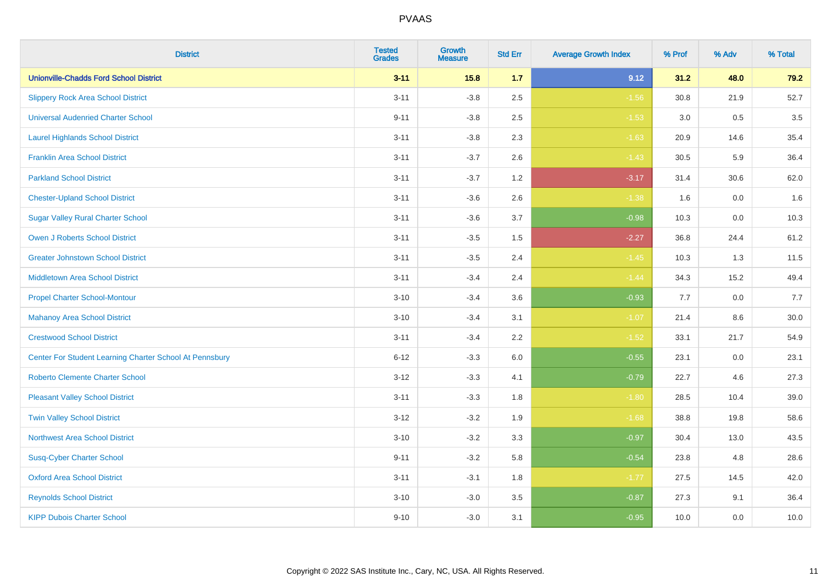| <b>District</b>                                         | <b>Tested</b><br><b>Grades</b> | Growth<br><b>Measure</b> | <b>Std Err</b> | <b>Average Growth Index</b> | % Prof | % Adv | % Total  |
|---------------------------------------------------------|--------------------------------|--------------------------|----------------|-----------------------------|--------|-------|----------|
| <b>Unionville-Chadds Ford School District</b>           | $3 - 11$                       | 15.8                     | 1.7            | 9.12                        | 31.2   | 48.0  | 79.2     |
| <b>Slippery Rock Area School District</b>               | $3 - 11$                       | $-3.8$                   | 2.5            | $-1.56$                     | 30.8   | 21.9  | 52.7     |
| <b>Universal Audenried Charter School</b>               | $9 - 11$                       | $-3.8$                   | 2.5            | $-1.53$                     | 3.0    | 0.5   | 3.5      |
| <b>Laurel Highlands School District</b>                 | $3 - 11$                       | $-3.8$                   | 2.3            | $-1.63$                     | 20.9   | 14.6  | 35.4     |
| <b>Franklin Area School District</b>                    | $3 - 11$                       | $-3.7$                   | 2.6            | $-1.43$                     | 30.5   | 5.9   | 36.4     |
| <b>Parkland School District</b>                         | $3 - 11$                       | $-3.7$                   | 1.2            | $-3.17$                     | 31.4   | 30.6  | 62.0     |
| <b>Chester-Upland School District</b>                   | $3 - 11$                       | $-3.6$                   | 2.6            | $-1.38$                     | 1.6    | 0.0   | 1.6      |
| <b>Sugar Valley Rural Charter School</b>                | $3 - 11$                       | $-3.6$                   | 3.7            | $-0.98$                     | 10.3   | 0.0   | 10.3     |
| Owen J Roberts School District                          | $3 - 11$                       | $-3.5$                   | 1.5            | $-2.27$                     | 36.8   | 24.4  | 61.2     |
| <b>Greater Johnstown School District</b>                | $3 - 11$                       | $-3.5$                   | 2.4            | $-1.45$                     | 10.3   | 1.3   | 11.5     |
| <b>Middletown Area School District</b>                  | $3 - 11$                       | $-3.4$                   | 2.4            | $-1.44$                     | 34.3   | 15.2  | 49.4     |
| <b>Propel Charter School-Montour</b>                    | $3 - 10$                       | $-3.4$                   | 3.6            | $-0.93$                     | 7.7    | 0.0   | 7.7      |
| <b>Mahanoy Area School District</b>                     | $3 - 10$                       | $-3.4$                   | 3.1            | $-1.07$                     | 21.4   | 8.6   | $30.0\,$ |
| <b>Crestwood School District</b>                        | $3 - 11$                       | $-3.4$                   | 2.2            | $-1.52$                     | 33.1   | 21.7  | 54.9     |
| Center For Student Learning Charter School At Pennsbury | $6 - 12$                       | $-3.3$                   | 6.0            | $-0.55$                     | 23.1   | 0.0   | 23.1     |
| <b>Roberto Clemente Charter School</b>                  | $3 - 12$                       | $-3.3$                   | 4.1            | $-0.79$                     | 22.7   | 4.6   | 27.3     |
| <b>Pleasant Valley School District</b>                  | $3 - 11$                       | $-3.3$                   | 1.8            | $-1.80$                     | 28.5   | 10.4  | 39.0     |
| <b>Twin Valley School District</b>                      | $3 - 12$                       | $-3.2$                   | 1.9            | $-1.68$                     | 38.8   | 19.8  | 58.6     |
| <b>Northwest Area School District</b>                   | $3 - 10$                       | $-3.2$                   | 3.3            | $-0.97$                     | 30.4   | 13.0  | 43.5     |
| <b>Susq-Cyber Charter School</b>                        | $9 - 11$                       | $-3.2$                   | 5.8            | $-0.54$                     | 23.8   | 4.8   | 28.6     |
| <b>Oxford Area School District</b>                      | $3 - 11$                       | $-3.1$                   | 1.8            | $-1.77$                     | 27.5   | 14.5  | 42.0     |
| <b>Reynolds School District</b>                         | $3 - 10$                       | $-3.0$                   | 3.5            | $-0.87$                     | 27.3   | 9.1   | 36.4     |
| <b>KIPP Dubois Charter School</b>                       | $9 - 10$                       | $-3.0$                   | 3.1            | $-0.95$                     | 10.0   | 0.0   | 10.0     |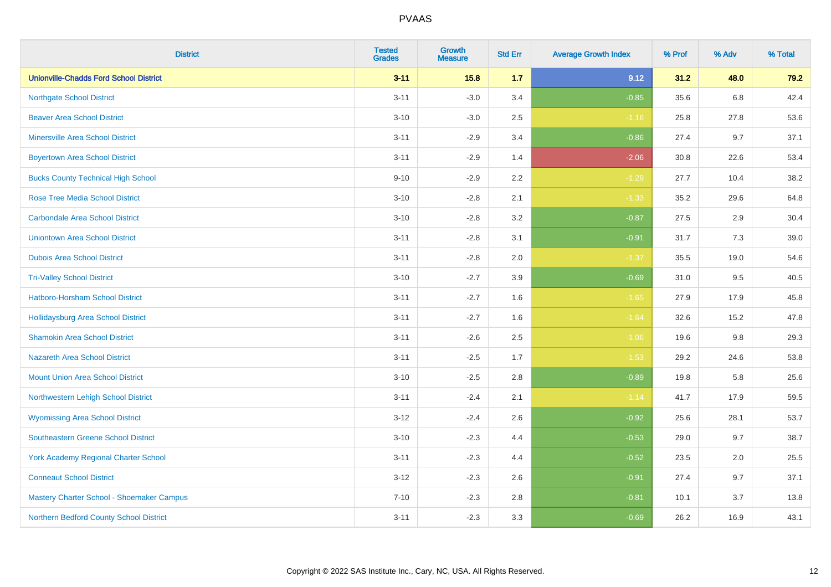| <b>District</b>                               | <b>Tested</b><br><b>Grades</b> | <b>Growth</b><br><b>Measure</b> | <b>Std Err</b> | <b>Average Growth Index</b> | % Prof | % Adv   | % Total |
|-----------------------------------------------|--------------------------------|---------------------------------|----------------|-----------------------------|--------|---------|---------|
| <b>Unionville-Chadds Ford School District</b> | $3 - 11$                       | 15.8                            | 1.7            | 9.12                        | 31.2   | 48.0    | 79.2    |
| <b>Northgate School District</b>              | $3 - 11$                       | $-3.0$                          | 3.4            | $-0.85$                     | 35.6   | $6.8\,$ | 42.4    |
| <b>Beaver Area School District</b>            | $3 - 10$                       | $-3.0$                          | 2.5            | $-1.16$                     | 25.8   | 27.8    | 53.6    |
| <b>Minersville Area School District</b>       | $3 - 11$                       | $-2.9$                          | 3.4            | $-0.86$                     | 27.4   | 9.7     | 37.1    |
| <b>Boyertown Area School District</b>         | $3 - 11$                       | $-2.9$                          | 1.4            | $-2.06$                     | 30.8   | 22.6    | 53.4    |
| <b>Bucks County Technical High School</b>     | $9 - 10$                       | $-2.9$                          | 2.2            | $-1.29$                     | 27.7   | 10.4    | 38.2    |
| <b>Rose Tree Media School District</b>        | $3 - 10$                       | $-2.8$                          | 2.1            | $-1.33$                     | 35.2   | 29.6    | 64.8    |
| <b>Carbondale Area School District</b>        | $3 - 10$                       | $-2.8$                          | 3.2            | $-0.87$                     | 27.5   | 2.9     | 30.4    |
| <b>Uniontown Area School District</b>         | $3 - 11$                       | $-2.8$                          | 3.1            | $-0.91$                     | 31.7   | 7.3     | 39.0    |
| <b>Dubois Area School District</b>            | $3 - 11$                       | $-2.8$                          | 2.0            | $-1.37$                     | 35.5   | 19.0    | 54.6    |
| <b>Tri-Valley School District</b>             | $3 - 10$                       | $-2.7$                          | 3.9            | $-0.69$                     | 31.0   | 9.5     | 40.5    |
| Hatboro-Horsham School District               | $3 - 11$                       | $-2.7$                          | 1.6            | $-1.65$                     | 27.9   | 17.9    | 45.8    |
| <b>Hollidaysburg Area School District</b>     | $3 - 11$                       | $-2.7$                          | 1.6            | $-1.64$                     | 32.6   | 15.2    | 47.8    |
| <b>Shamokin Area School District</b>          | $3 - 11$                       | $-2.6$                          | 2.5            | $-1.06$                     | 19.6   | 9.8     | 29.3    |
| <b>Nazareth Area School District</b>          | $3 - 11$                       | $-2.5$                          | 1.7            | $-1.53$                     | 29.2   | 24.6    | 53.8    |
| <b>Mount Union Area School District</b>       | $3 - 10$                       | $-2.5$                          | 2.8            | $-0.89$                     | 19.8   | 5.8     | 25.6    |
| Northwestern Lehigh School District           | $3 - 11$                       | $-2.4$                          | 2.1            | $-1.14$                     | 41.7   | 17.9    | 59.5    |
| <b>Wyomissing Area School District</b>        | $3 - 12$                       | $-2.4$                          | 2.6            | $-0.92$                     | 25.6   | 28.1    | 53.7    |
| <b>Southeastern Greene School District</b>    | $3 - 10$                       | $-2.3$                          | 4.4            | $-0.53$                     | 29.0   | 9.7     | 38.7    |
| <b>York Academy Regional Charter School</b>   | $3 - 11$                       | $-2.3$                          | 4.4            | $-0.52$                     | 23.5   | 2.0     | 25.5    |
| <b>Conneaut School District</b>               | $3 - 12$                       | $-2.3$                          | 2.6            | $-0.91$                     | 27.4   | 9.7     | 37.1    |
| Mastery Charter School - Shoemaker Campus     | $7 - 10$                       | $-2.3$                          | 2.8            | $-0.81$                     | 10.1   | 3.7     | 13.8    |
| Northern Bedford County School District       | $3 - 11$                       | $-2.3$                          | 3.3            | $-0.69$                     | 26.2   | 16.9    | 43.1    |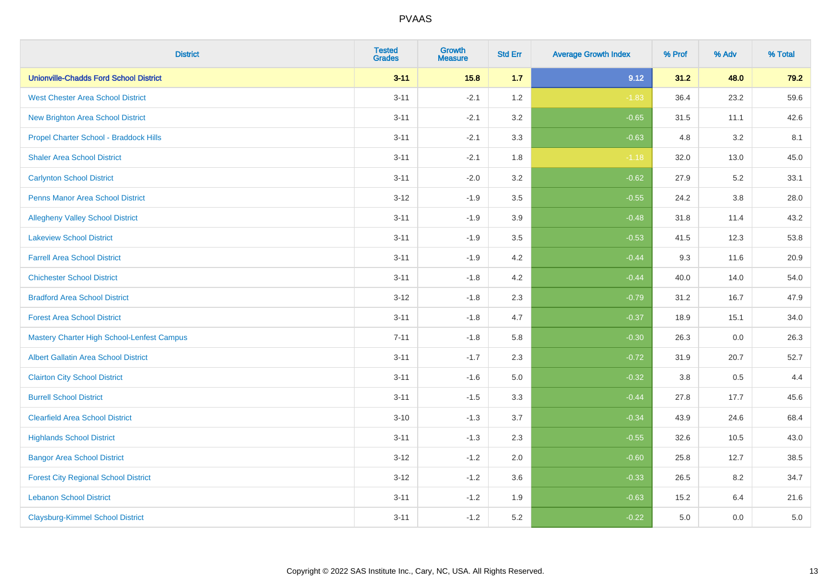| <b>District</b>                                   | <b>Tested</b><br><b>Grades</b> | <b>Growth</b><br><b>Measure</b> | <b>Std Err</b> | <b>Average Growth Index</b> | % Prof | % Adv   | % Total |
|---------------------------------------------------|--------------------------------|---------------------------------|----------------|-----------------------------|--------|---------|---------|
| <b>Unionville-Chadds Ford School District</b>     | $3 - 11$                       | 15.8                            | 1.7            | 9.12                        | 31.2   | 48.0    | 79.2    |
| <b>West Chester Area School District</b>          | $3 - 11$                       | $-2.1$                          | 1.2            | $-1.83$                     | 36.4   | 23.2    | 59.6    |
| New Brighton Area School District                 | $3 - 11$                       | $-2.1$                          | 3.2            | $-0.65$                     | 31.5   | 11.1    | 42.6    |
| Propel Charter School - Braddock Hills            | $3 - 11$                       | $-2.1$                          | 3.3            | $-0.63$                     | 4.8    | 3.2     | 8.1     |
| <b>Shaler Area School District</b>                | $3 - 11$                       | $-2.1$                          | 1.8            | $-1.18$                     | 32.0   | 13.0    | 45.0    |
| <b>Carlynton School District</b>                  | $3 - 11$                       | $-2.0$                          | 3.2            | $-0.62$                     | 27.9   | 5.2     | 33.1    |
| Penns Manor Area School District                  | $3 - 12$                       | $-1.9$                          | 3.5            | $-0.55$                     | 24.2   | $3.8\,$ | 28.0    |
| <b>Allegheny Valley School District</b>           | $3 - 11$                       | $-1.9$                          | 3.9            | $-0.48$                     | 31.8   | 11.4    | 43.2    |
| <b>Lakeview School District</b>                   | $3 - 11$                       | $-1.9$                          | 3.5            | $-0.53$                     | 41.5   | 12.3    | 53.8    |
| <b>Farrell Area School District</b>               | $3 - 11$                       | $-1.9$                          | 4.2            | $-0.44$                     | 9.3    | 11.6    | 20.9    |
| <b>Chichester School District</b>                 | $3 - 11$                       | $-1.8$                          | 4.2            | $-0.44$                     | 40.0   | 14.0    | 54.0    |
| <b>Bradford Area School District</b>              | $3 - 12$                       | $-1.8$                          | 2.3            | $-0.79$                     | 31.2   | 16.7    | 47.9    |
| <b>Forest Area School District</b>                | $3 - 11$                       | $-1.8$                          | 4.7            | $-0.37$                     | 18.9   | 15.1    | 34.0    |
| <b>Mastery Charter High School-Lenfest Campus</b> | $7 - 11$                       | $-1.8$                          | 5.8            | $-0.30$                     | 26.3   | 0.0     | 26.3    |
| <b>Albert Gallatin Area School District</b>       | $3 - 11$                       | $-1.7$                          | 2.3            | $-0.72$                     | 31.9   | 20.7    | 52.7    |
| <b>Clairton City School District</b>              | $3 - 11$                       | $-1.6$                          | 5.0            | $-0.32$                     | 3.8    | 0.5     | 4.4     |
| <b>Burrell School District</b>                    | $3 - 11$                       | $-1.5$                          | 3.3            | $-0.44$                     | 27.8   | 17.7    | 45.6    |
| <b>Clearfield Area School District</b>            | $3 - 10$                       | $-1.3$                          | 3.7            | $-0.34$                     | 43.9   | 24.6    | 68.4    |
| <b>Highlands School District</b>                  | $3 - 11$                       | $-1.3$                          | 2.3            | $-0.55$                     | 32.6   | 10.5    | 43.0    |
| <b>Bangor Area School District</b>                | $3 - 12$                       | $-1.2$                          | 2.0            | $-0.60$                     | 25.8   | 12.7    | 38.5    |
| <b>Forest City Regional School District</b>       | $3 - 12$                       | $-1.2$                          | 3.6            | $-0.33$                     | 26.5   | 8.2     | 34.7    |
| <b>Lebanon School District</b>                    | $3 - 11$                       | $-1.2$                          | 1.9            | $-0.63$                     | 15.2   | 6.4     | 21.6    |
| <b>Claysburg-Kimmel School District</b>           | $3 - 11$                       | $-1.2$                          | 5.2            | $-0.22$                     | 5.0    | 0.0     | $5.0\,$ |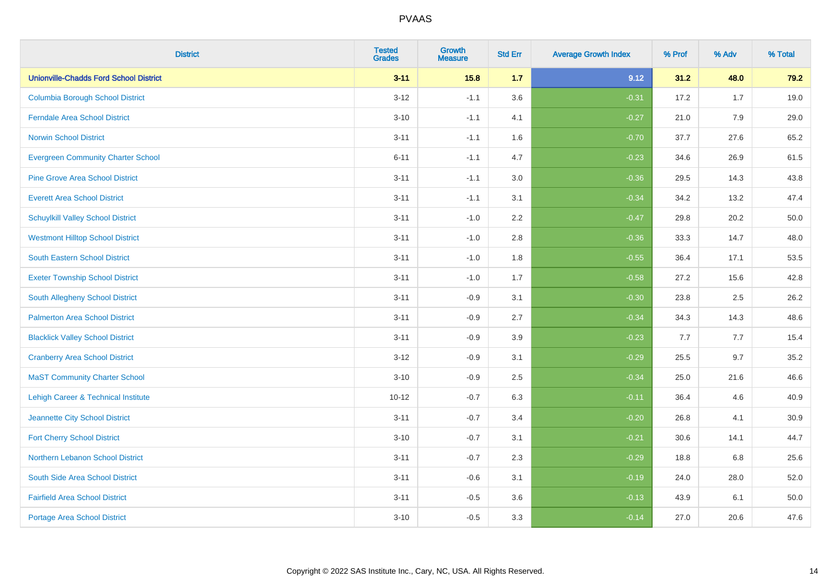| <b>District</b>                                | <b>Tested</b><br><b>Grades</b> | Growth<br><b>Measure</b> | <b>Std Err</b> | <b>Average Growth Index</b> | % Prof | % Adv | % Total |
|------------------------------------------------|--------------------------------|--------------------------|----------------|-----------------------------|--------|-------|---------|
| <b>Unionville-Chadds Ford School District</b>  | $3 - 11$                       | 15.8                     | 1.7            | 9.12                        | 31.2   | 48.0  | 79.2    |
| <b>Columbia Borough School District</b>        | $3 - 12$                       | $-1.1$                   | 3.6            | $-0.31$                     | 17.2   | 1.7   | 19.0    |
| <b>Ferndale Area School District</b>           | $3 - 10$                       | $-1.1$                   | 4.1            | $-0.27$                     | 21.0   | 7.9   | 29.0    |
| <b>Norwin School District</b>                  | $3 - 11$                       | $-1.1$                   | 1.6            | $-0.70$                     | 37.7   | 27.6  | 65.2    |
| <b>Evergreen Community Charter School</b>      | $6 - 11$                       | $-1.1$                   | 4.7            | $-0.23$                     | 34.6   | 26.9  | 61.5    |
| <b>Pine Grove Area School District</b>         | $3 - 11$                       | $-1.1$                   | 3.0            | $-0.36$                     | 29.5   | 14.3  | 43.8    |
| <b>Everett Area School District</b>            | $3 - 11$                       | $-1.1$                   | 3.1            | $-0.34$                     | 34.2   | 13.2  | 47.4    |
| <b>Schuylkill Valley School District</b>       | $3 - 11$                       | $-1.0$                   | 2.2            | $-0.47$                     | 29.8   | 20.2  | 50.0    |
| <b>Westmont Hilltop School District</b>        | $3 - 11$                       | $-1.0$                   | 2.8            | $-0.36$                     | 33.3   | 14.7  | 48.0    |
| <b>South Eastern School District</b>           | $3 - 11$                       | $-1.0$                   | 1.8            | $-0.55$                     | 36.4   | 17.1  | 53.5    |
| <b>Exeter Township School District</b>         | $3 - 11$                       | $-1.0$                   | 1.7            | $-0.58$                     | 27.2   | 15.6  | 42.8    |
| South Allegheny School District                | $3 - 11$                       | $-0.9$                   | 3.1            | $-0.30$                     | 23.8   | 2.5   | 26.2    |
| <b>Palmerton Area School District</b>          | $3 - 11$                       | $-0.9$                   | 2.7            | $-0.34$                     | 34.3   | 14.3  | 48.6    |
| <b>Blacklick Valley School District</b>        | $3 - 11$                       | $-0.9$                   | 3.9            | $-0.23$                     | 7.7    | 7.7   | 15.4    |
| <b>Cranberry Area School District</b>          | $3 - 12$                       | $-0.9$                   | 3.1            | $-0.29$                     | 25.5   | 9.7   | 35.2    |
| <b>MaST Community Charter School</b>           | $3 - 10$                       | $-0.9$                   | 2.5            | $-0.34$                     | 25.0   | 21.6  | 46.6    |
| <b>Lehigh Career &amp; Technical Institute</b> | $10 - 12$                      | $-0.7$                   | 6.3            | $-0.11$                     | 36.4   | 4.6   | 40.9    |
| Jeannette City School District                 | $3 - 11$                       | $-0.7$                   | 3.4            | $-0.20$                     | 26.8   | 4.1   | 30.9    |
| <b>Fort Cherry School District</b>             | $3 - 10$                       | $-0.7$                   | 3.1            | $-0.21$                     | 30.6   | 14.1  | 44.7    |
| Northern Lebanon School District               | $3 - 11$                       | $-0.7$                   | 2.3            | $-0.29$                     | 18.8   | 6.8   | 25.6    |
| South Side Area School District                | $3 - 11$                       | $-0.6$                   | 3.1            | $-0.19$                     | 24.0   | 28.0  | 52.0    |
| <b>Fairfield Area School District</b>          | $3 - 11$                       | $-0.5$                   | 3.6            | $-0.13$                     | 43.9   | 6.1   | 50.0    |
| <b>Portage Area School District</b>            | $3 - 10$                       | $-0.5$                   | 3.3            | $-0.14$                     | 27.0   | 20.6  | 47.6    |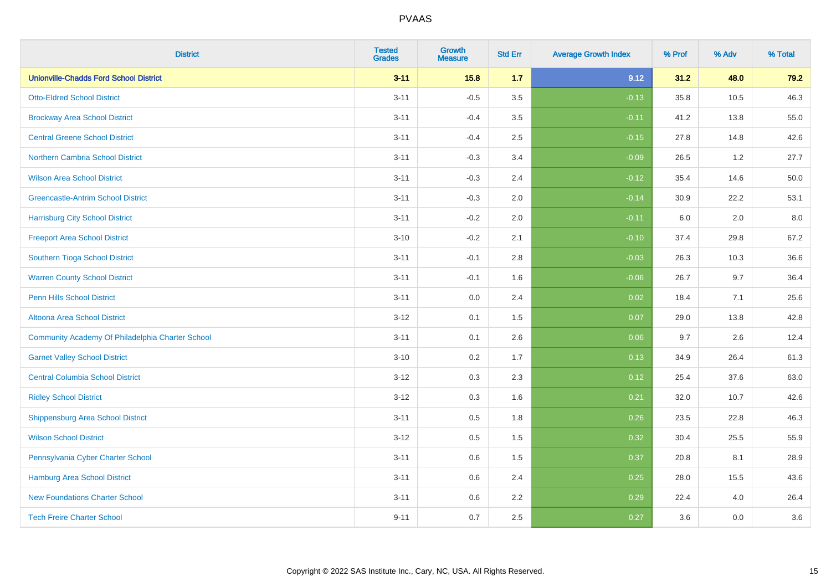| <b>District</b>                                  | <b>Tested</b><br><b>Grades</b> | <b>Growth</b><br><b>Measure</b> | <b>Std Err</b> | <b>Average Growth Index</b> | % Prof | % Adv | % Total |
|--------------------------------------------------|--------------------------------|---------------------------------|----------------|-----------------------------|--------|-------|---------|
| <b>Unionville-Chadds Ford School District</b>    | $3 - 11$                       | 15.8                            | 1.7            | 9.12                        | 31.2   | 48.0  | 79.2    |
| <b>Otto-Eldred School District</b>               | $3 - 11$                       | $-0.5$                          | $3.5\,$        | $-0.13$                     | 35.8   | 10.5  | 46.3    |
| <b>Brockway Area School District</b>             | $3 - 11$                       | $-0.4$                          | 3.5            | $-0.11$                     | 41.2   | 13.8  | 55.0    |
| <b>Central Greene School District</b>            | $3 - 11$                       | $-0.4$                          | 2.5            | $-0.15$                     | 27.8   | 14.8  | 42.6    |
| Northern Cambria School District                 | $3 - 11$                       | $-0.3$                          | 3.4            | $-0.09$                     | 26.5   | 1.2   | 27.7    |
| <b>Wilson Area School District</b>               | $3 - 11$                       | $-0.3$                          | 2.4            | $-0.12$                     | 35.4   | 14.6  | 50.0    |
| <b>Greencastle-Antrim School District</b>        | $3 - 11$                       | $-0.3$                          | 2.0            | $-0.14$                     | 30.9   | 22.2  | 53.1    |
| <b>Harrisburg City School District</b>           | $3 - 11$                       | $-0.2$                          | 2.0            | $-0.11$                     | 6.0    | 2.0   | 8.0     |
| <b>Freeport Area School District</b>             | $3 - 10$                       | $-0.2$                          | 2.1            | $-0.10$                     | 37.4   | 29.8  | 67.2    |
| Southern Tioga School District                   | $3 - 11$                       | $-0.1$                          | 2.8            | $-0.03$                     | 26.3   | 10.3  | 36.6    |
| <b>Warren County School District</b>             | $3 - 11$                       | $-0.1$                          | 1.6            | $-0.06$                     | 26.7   | 9.7   | 36.4    |
| <b>Penn Hills School District</b>                | $3 - 11$                       | 0.0                             | 2.4            | 0.02                        | 18.4   | 7.1   | 25.6    |
| Altoona Area School District                     | $3-12$                         | 0.1                             | 1.5            | 0.07                        | 29.0   | 13.8  | 42.8    |
| Community Academy Of Philadelphia Charter School | $3 - 11$                       | 0.1                             | 2.6            | 0.06                        | 9.7    | 2.6   | 12.4    |
| <b>Garnet Valley School District</b>             | $3 - 10$                       | 0.2                             | 1.7            | 0.13                        | 34.9   | 26.4  | 61.3    |
| <b>Central Columbia School District</b>          | $3 - 12$                       | 0.3                             | 2.3            | 0.12                        | 25.4   | 37.6  | 63.0    |
| <b>Ridley School District</b>                    | $3 - 12$                       | 0.3                             | 1.6            | 0.21                        | 32.0   | 10.7  | 42.6    |
| <b>Shippensburg Area School District</b>         | $3 - 11$                       | 0.5                             | 1.8            | 0.26                        | 23.5   | 22.8  | 46.3    |
| <b>Wilson School District</b>                    | $3 - 12$                       | 0.5                             | 1.5            | 0.32                        | 30.4   | 25.5  | 55.9    |
| Pennsylvania Cyber Charter School                | $3 - 11$                       | 0.6                             | 1.5            | 0.37                        | 20.8   | 8.1   | 28.9    |
| <b>Hamburg Area School District</b>              | $3 - 11$                       | 0.6                             | 2.4            | 0.25                        | 28.0   | 15.5  | 43.6    |
| <b>New Foundations Charter School</b>            | $3 - 11$                       | 0.6                             | 2.2            | 0.29                        | 22.4   | 4.0   | 26.4    |
| <b>Tech Freire Charter School</b>                | $9 - 11$                       | 0.7                             | 2.5            | 0.27                        | 3.6    | 0.0   | 3.6     |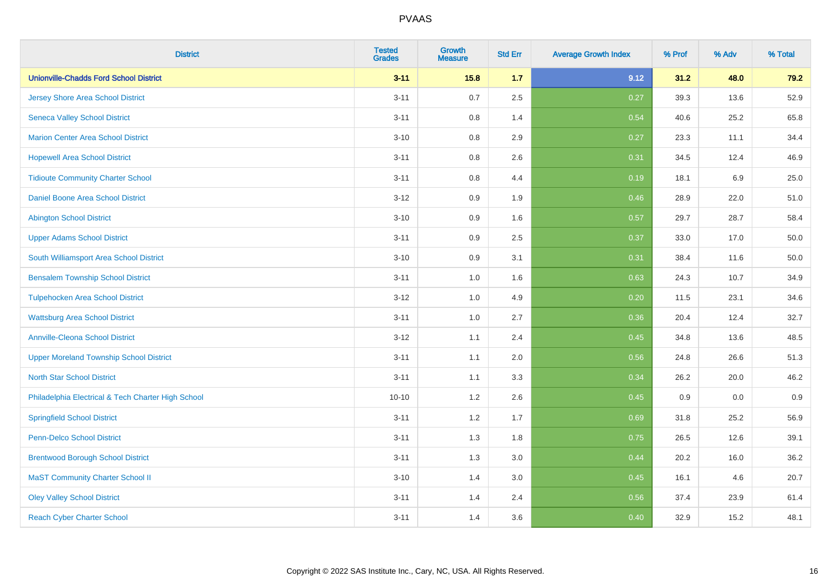| <b>District</b>                                    | <b>Tested</b><br><b>Grades</b> | <b>Growth</b><br><b>Measure</b> | <b>Std Err</b> | <b>Average Growth Index</b> | % Prof | % Adv | % Total |
|----------------------------------------------------|--------------------------------|---------------------------------|----------------|-----------------------------|--------|-------|---------|
| <b>Unionville-Chadds Ford School District</b>      | $3 - 11$                       | 15.8                            | 1.7            | 9.12                        | 31.2   | 48.0  | 79.2    |
| <b>Jersey Shore Area School District</b>           | $3 - 11$                       | 0.7                             | 2.5            | 0.27                        | 39.3   | 13.6  | 52.9    |
| <b>Seneca Valley School District</b>               | $3 - 11$                       | 0.8                             | 1.4            | 0.54                        | 40.6   | 25.2  | 65.8    |
| <b>Marion Center Area School District</b>          | $3 - 10$                       | 0.8                             | 2.9            | 0.27                        | 23.3   | 11.1  | 34.4    |
| <b>Hopewell Area School District</b>               | $3 - 11$                       | 0.8                             | 2.6            | 0.31                        | 34.5   | 12.4  | 46.9    |
| <b>Tidioute Community Charter School</b>           | $3 - 11$                       | 0.8                             | 4.4            | 0.19                        | 18.1   | 6.9   | 25.0    |
| Daniel Boone Area School District                  | $3 - 12$                       | 0.9                             | 1.9            | 0.46                        | 28.9   | 22.0  | 51.0    |
| <b>Abington School District</b>                    | $3 - 10$                       | 0.9                             | 1.6            | 0.57                        | 29.7   | 28.7  | 58.4    |
| <b>Upper Adams School District</b>                 | $3 - 11$                       | 0.9                             | 2.5            | 0.37                        | 33.0   | 17.0  | 50.0    |
| South Williamsport Area School District            | $3 - 10$                       | 0.9                             | 3.1            | 0.31                        | 38.4   | 11.6  | 50.0    |
| <b>Bensalem Township School District</b>           | $3 - 11$                       | 1.0                             | 1.6            | 0.63                        | 24.3   | 10.7  | 34.9    |
| <b>Tulpehocken Area School District</b>            | $3-12$                         | 1.0                             | 4.9            | 0.20                        | 11.5   | 23.1  | 34.6    |
| <b>Wattsburg Area School District</b>              | $3 - 11$                       | 1.0                             | 2.7            | 0.36                        | 20.4   | 12.4  | 32.7    |
| <b>Annville-Cleona School District</b>             | $3 - 12$                       | 1.1                             | 2.4            | 0.45                        | 34.8   | 13.6  | 48.5    |
| <b>Upper Moreland Township School District</b>     | $3 - 11$                       | 1.1                             | 2.0            | 0.56                        | 24.8   | 26.6  | 51.3    |
| <b>North Star School District</b>                  | $3 - 11$                       | 1.1                             | 3.3            | 0.34                        | 26.2   | 20.0  | 46.2    |
| Philadelphia Electrical & Tech Charter High School | $10 - 10$                      | $1.2\,$                         | 2.6            | 0.45                        | 0.9    | 0.0   | 0.9     |
| <b>Springfield School District</b>                 | $3 - 11$                       | 1.2                             | 1.7            | 0.69                        | 31.8   | 25.2  | 56.9    |
| <b>Penn-Delco School District</b>                  | $3 - 11$                       | 1.3                             | 1.8            | 0.75                        | 26.5   | 12.6  | 39.1    |
| <b>Brentwood Borough School District</b>           | $3 - 11$                       | 1.3                             | 3.0            | 0.44                        | 20.2   | 16.0  | 36.2    |
| <b>MaST Community Charter School II</b>            | $3 - 10$                       | 1.4                             | 3.0            | 0.45                        | 16.1   | 4.6   | 20.7    |
| <b>Oley Valley School District</b>                 | $3 - 11$                       | 1.4                             | 2.4            | 0.56                        | 37.4   | 23.9  | 61.4    |
| <b>Reach Cyber Charter School</b>                  | $3 - 11$                       | 1.4                             | 3.6            | 0.40                        | 32.9   | 15.2  | 48.1    |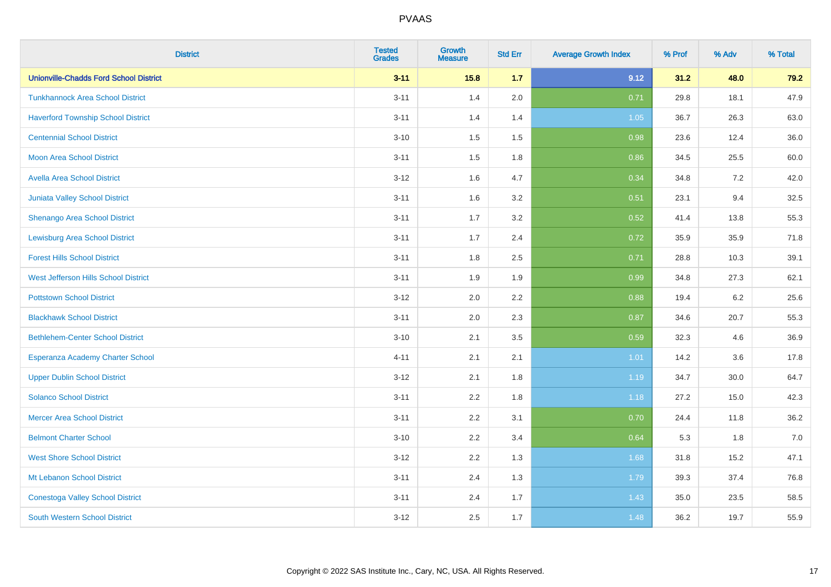| <b>District</b>                               | <b>Tested</b><br><b>Grades</b> | <b>Growth</b><br><b>Measure</b> | <b>Std Err</b> | <b>Average Growth Index</b> | % Prof | % Adv | % Total |
|-----------------------------------------------|--------------------------------|---------------------------------|----------------|-----------------------------|--------|-------|---------|
| <b>Unionville-Chadds Ford School District</b> | $3 - 11$                       | 15.8                            | 1.7            | 9.12                        | 31.2   | 48.0  | 79.2    |
| <b>Tunkhannock Area School District</b>       | $3 - 11$                       | 1.4                             | 2.0            | 0.71                        | 29.8   | 18.1  | 47.9    |
| <b>Haverford Township School District</b>     | $3 - 11$                       | 1.4                             | 1.4            | 1.05                        | 36.7   | 26.3  | 63.0    |
| <b>Centennial School District</b>             | $3 - 10$                       | 1.5                             | 1.5            | 0.98                        | 23.6   | 12.4  | 36.0    |
| <b>Moon Area School District</b>              | $3 - 11$                       | 1.5                             | 1.8            | 0.86                        | 34.5   | 25.5  | 60.0    |
| Avella Area School District                   | $3 - 12$                       | 1.6                             | 4.7            | 0.34                        | 34.8   | 7.2   | 42.0    |
| <b>Juniata Valley School District</b>         | $3 - 11$                       | 1.6                             | 3.2            | 0.51                        | 23.1   | 9.4   | 32.5    |
| Shenango Area School District                 | $3 - 11$                       | 1.7                             | 3.2            | 0.52                        | 41.4   | 13.8  | 55.3    |
| <b>Lewisburg Area School District</b>         | $3 - 11$                       | 1.7                             | 2.4            | 0.72                        | 35.9   | 35.9  | 71.8    |
| <b>Forest Hills School District</b>           | $3 - 11$                       | 1.8                             | 2.5            | 0.71                        | 28.8   | 10.3  | 39.1    |
| West Jefferson Hills School District          | $3 - 11$                       | 1.9                             | 1.9            | 0.99                        | 34.8   | 27.3  | 62.1    |
| <b>Pottstown School District</b>              | $3 - 12$                       | 2.0                             | 2.2            | 0.88                        | 19.4   | 6.2   | 25.6    |
| <b>Blackhawk School District</b>              | $3 - 11$                       | 2.0                             | 2.3            | 0.87                        | 34.6   | 20.7  | 55.3    |
| <b>Bethlehem-Center School District</b>       | $3 - 10$                       | 2.1                             | 3.5            | 0.59                        | 32.3   | 4.6   | 36.9    |
| Esperanza Academy Charter School              | $4 - 11$                       | 2.1                             | 2.1            | 1.01                        | 14.2   | 3.6   | 17.8    |
| <b>Upper Dublin School District</b>           | $3 - 12$                       | 2.1                             | 1.8            | 1.19                        | 34.7   | 30.0  | 64.7    |
| <b>Solanco School District</b>                | $3 - 11$                       | 2.2                             | 1.8            | 1.18                        | 27.2   | 15.0  | 42.3    |
| <b>Mercer Area School District</b>            | $3 - 11$                       | 2.2                             | 3.1            | 0.70                        | 24.4   | 11.8  | 36.2    |
| <b>Belmont Charter School</b>                 | $3 - 10$                       | 2.2                             | 3.4            | 0.64                        | 5.3    | 1.8   | $7.0$   |
| <b>West Shore School District</b>             | $3 - 12$                       | 2.2                             | 1.3            | 1.68                        | 31.8   | 15.2  | 47.1    |
| Mt Lebanon School District                    | $3 - 11$                       | 2.4                             | 1.3            | 1.79                        | 39.3   | 37.4  | 76.8    |
| <b>Conestoga Valley School District</b>       | $3 - 11$                       | 2.4                             | 1.7            | 1.43                        | 35.0   | 23.5  | 58.5    |
| <b>South Western School District</b>          | $3 - 12$                       | 2.5                             | 1.7            | 1.48                        | 36.2   | 19.7  | 55.9    |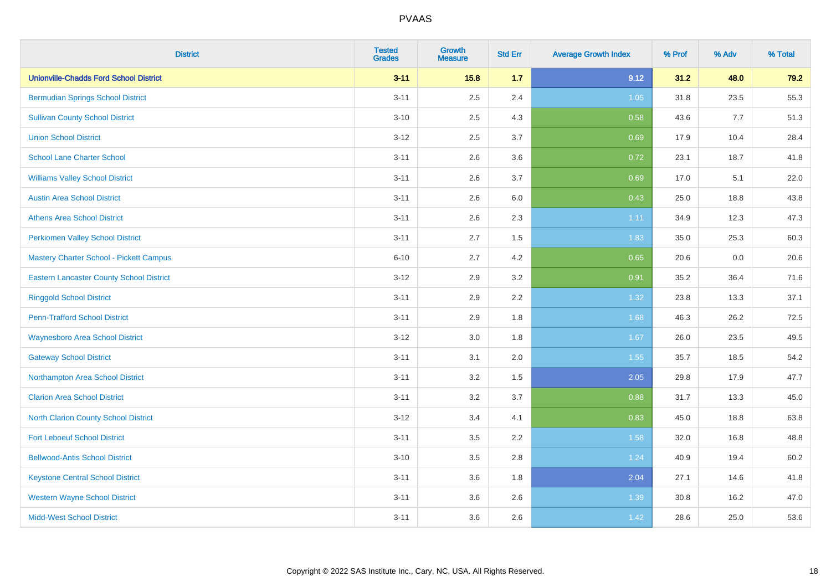| <b>District</b>                                 | <b>Tested</b><br><b>Grades</b> | <b>Growth</b><br><b>Measure</b> | <b>Std Err</b> | <b>Average Growth Index</b> | % Prof | % Adv | % Total |
|-------------------------------------------------|--------------------------------|---------------------------------|----------------|-----------------------------|--------|-------|---------|
| <b>Unionville-Chadds Ford School District</b>   | $3 - 11$                       | 15.8                            | 1.7            | 9.12                        | 31.2   | 48.0  | 79.2    |
| <b>Bermudian Springs School District</b>        | $3 - 11$                       | 2.5                             | 2.4            | $1.05$                      | 31.8   | 23.5  | 55.3    |
| <b>Sullivan County School District</b>          | $3 - 10$                       | 2.5                             | 4.3            | 0.58                        | 43.6   | 7.7   | 51.3    |
| <b>Union School District</b>                    | $3 - 12$                       | 2.5                             | 3.7            | 0.69                        | 17.9   | 10.4  | 28.4    |
| <b>School Lane Charter School</b>               | $3 - 11$                       | 2.6                             | 3.6            | 0.72                        | 23.1   | 18.7  | 41.8    |
| <b>Williams Valley School District</b>          | $3 - 11$                       | 2.6                             | 3.7            | 0.69                        | 17.0   | 5.1   | 22.0    |
| <b>Austin Area School District</b>              | $3 - 11$                       | 2.6                             | 6.0            | 0.43                        | 25.0   | 18.8  | 43.8    |
| <b>Athens Area School District</b>              | $3 - 11$                       | 2.6                             | 2.3            | 1.11                        | 34.9   | 12.3  | 47.3    |
| <b>Perkiomen Valley School District</b>         | $3 - 11$                       | 2.7                             | 1.5            | 1.83                        | 35.0   | 25.3  | 60.3    |
| Mastery Charter School - Pickett Campus         | $6 - 10$                       | 2.7                             | 4.2            | 0.65                        | 20.6   | 0.0   | 20.6    |
| <b>Eastern Lancaster County School District</b> | $3 - 12$                       | 2.9                             | 3.2            | 0.91                        | 35.2   | 36.4  | 71.6    |
| <b>Ringgold School District</b>                 | $3 - 11$                       | 2.9                             | 2.2            | 1.32                        | 23.8   | 13.3  | 37.1    |
| <b>Penn-Trafford School District</b>            | $3 - 11$                       | 2.9                             | 1.8            | 1.68                        | 46.3   | 26.2  | 72.5    |
| <b>Waynesboro Area School District</b>          | $3 - 12$                       | 3.0                             | 1.8            | 1.67                        | 26.0   | 23.5  | 49.5    |
| <b>Gateway School District</b>                  | $3 - 11$                       | 3.1                             | 2.0            | 1.55                        | 35.7   | 18.5  | 54.2    |
| Northampton Area School District                | $3 - 11$                       | 3.2                             | 1.5            | 2.05                        | 29.8   | 17.9  | 47.7    |
| <b>Clarion Area School District</b>             | $3 - 11$                       | 3.2                             | 3.7            | 0.88                        | 31.7   | 13.3  | 45.0    |
| North Clarion County School District            | $3 - 12$                       | 3.4                             | 4.1            | 0.83                        | 45.0   | 18.8  | 63.8    |
| <b>Fort Leboeuf School District</b>             | $3 - 11$                       | 3.5                             | 2.2            | 1.58                        | 32.0   | 16.8  | 48.8    |
| <b>Bellwood-Antis School District</b>           | $3 - 10$                       | 3.5                             | 2.8            | 1.24                        | 40.9   | 19.4  | 60.2    |
| <b>Keystone Central School District</b>         | $3 - 11$                       | 3.6                             | 1.8            | 2.04                        | 27.1   | 14.6  | 41.8    |
| <b>Western Wayne School District</b>            | $3 - 11$                       | 3.6                             | 2.6            | 1.39                        | 30.8   | 16.2  | 47.0    |
| <b>Midd-West School District</b>                | $3 - 11$                       | 3.6                             | 2.6            | 1.42                        | 28.6   | 25.0  | 53.6    |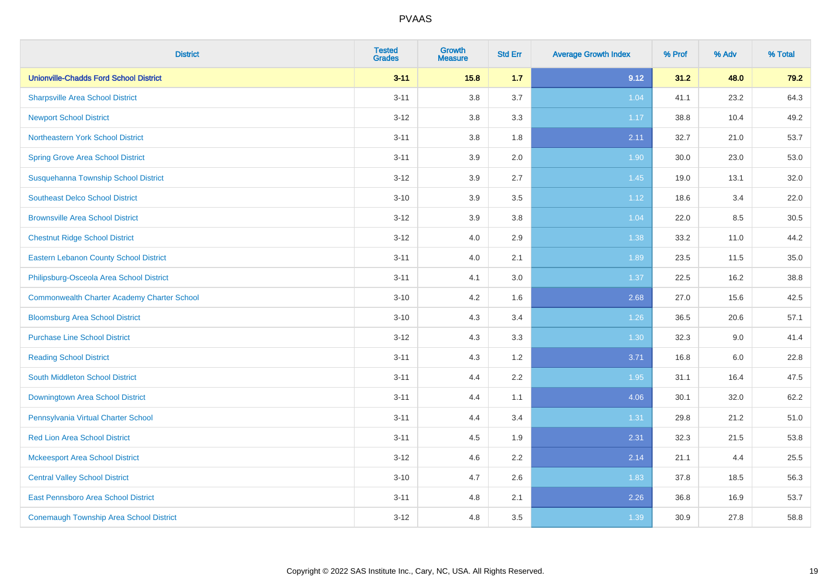| <b>District</b>                                    | <b>Tested</b><br><b>Grades</b> | <b>Growth</b><br><b>Measure</b> | <b>Std Err</b> | <b>Average Growth Index</b> | % Prof | % Adv | % Total |
|----------------------------------------------------|--------------------------------|---------------------------------|----------------|-----------------------------|--------|-------|---------|
| <b>Unionville-Chadds Ford School District</b>      | $3 - 11$                       | 15.8                            | 1.7            | 9.12                        | 31.2   | 48.0  | 79.2    |
| <b>Sharpsville Area School District</b>            | $3 - 11$                       | 3.8                             | 3.7            | 1.04                        | 41.1   | 23.2  | 64.3    |
| <b>Newport School District</b>                     | $3 - 12$                       | 3.8                             | 3.3            | 1.17                        | 38.8   | 10.4  | 49.2    |
| Northeastern York School District                  | $3 - 11$                       | 3.8                             | 1.8            | 2.11                        | 32.7   | 21.0  | 53.7    |
| <b>Spring Grove Area School District</b>           | $3 - 11$                       | 3.9                             | 2.0            | 1.90                        | 30.0   | 23.0  | 53.0    |
| Susquehanna Township School District               | $3 - 12$                       | 3.9                             | 2.7            | 1.45                        | 19.0   | 13.1  | 32.0    |
| <b>Southeast Delco School District</b>             | $3 - 10$                       | 3.9                             | 3.5            | 1.12                        | 18.6   | 3.4   | 22.0    |
| <b>Brownsville Area School District</b>            | $3 - 12$                       | 3.9                             | 3.8            | 1.04                        | 22.0   | 8.5   | 30.5    |
| <b>Chestnut Ridge School District</b>              | $3 - 12$                       | 4.0                             | 2.9            | 1.38                        | 33.2   | 11.0  | 44.2    |
| <b>Eastern Lebanon County School District</b>      | $3 - 11$                       | 4.0                             | 2.1            | 1.89                        | 23.5   | 11.5  | 35.0    |
| Philipsburg-Osceola Area School District           | $3 - 11$                       | 4.1                             | 3.0            | 1.37                        | 22.5   | 16.2  | 38.8    |
| <b>Commonwealth Charter Academy Charter School</b> | $3 - 10$                       | 4.2                             | 1.6            | 2.68                        | 27.0   | 15.6  | 42.5    |
| <b>Bloomsburg Area School District</b>             | $3 - 10$                       | 4.3                             | 3.4            | 1.26                        | 36.5   | 20.6  | 57.1    |
| <b>Purchase Line School District</b>               | $3 - 12$                       | 4.3                             | 3.3            | 1.30                        | 32.3   | 9.0   | 41.4    |
| <b>Reading School District</b>                     | $3 - 11$                       | 4.3                             | 1.2            | 3.71                        | 16.8   | 6.0   | 22.8    |
| South Middleton School District                    | $3 - 11$                       | 4.4                             | 2.2            | 1.95                        | 31.1   | 16.4  | 47.5    |
| <b>Downingtown Area School District</b>            | $3 - 11$                       | 4.4                             | 1.1            | 4.06                        | 30.1   | 32.0  | 62.2    |
| Pennsylvania Virtual Charter School                | $3 - 11$                       | 4.4                             | 3.4            | 1.31                        | 29.8   | 21.2  | 51.0    |
| <b>Red Lion Area School District</b>               | $3 - 11$                       | 4.5                             | 1.9            | 2.31                        | 32.3   | 21.5  | 53.8    |
| <b>Mckeesport Area School District</b>             | $3 - 12$                       | 4.6                             | 2.2            | 2.14                        | 21.1   | 4.4   | 25.5    |
| <b>Central Valley School District</b>              | $3 - 10$                       | 4.7                             | 2.6            | 1.83                        | 37.8   | 18.5  | 56.3    |
| East Pennsboro Area School District                | $3 - 11$                       | 4.8                             | 2.1            | 2.26                        | 36.8   | 16.9  | 53.7    |
| <b>Conemaugh Township Area School District</b>     | $3 - 12$                       | 4.8                             | 3.5            | 1.39                        | 30.9   | 27.8  | 58.8    |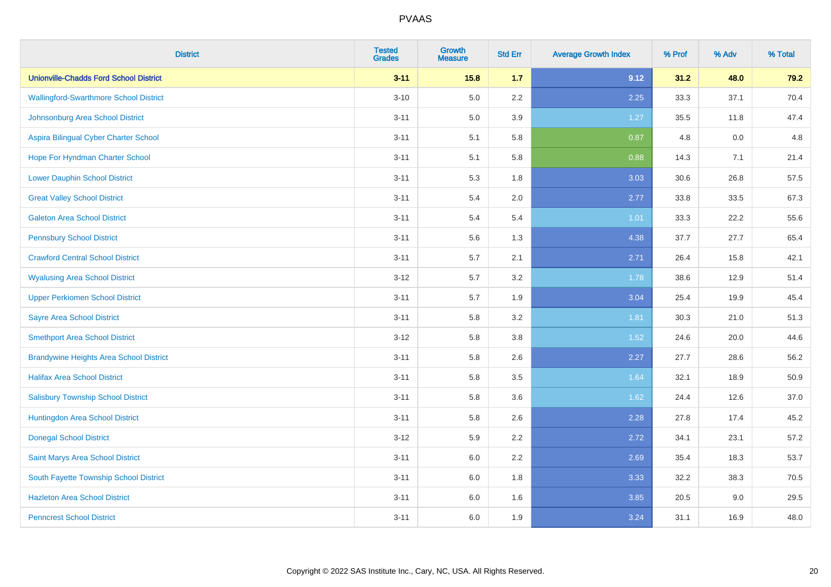| <b>District</b>                                | <b>Tested</b><br><b>Grades</b> | <b>Growth</b><br><b>Measure</b> | <b>Std Err</b> | <b>Average Growth Index</b> | % Prof | % Adv | % Total |
|------------------------------------------------|--------------------------------|---------------------------------|----------------|-----------------------------|--------|-------|---------|
| <b>Unionville-Chadds Ford School District</b>  | $3 - 11$                       | 15.8                            | 1.7            | 9.12                        | 31.2   | 48.0  | 79.2    |
| <b>Wallingford-Swarthmore School District</b>  | $3 - 10$                       | 5.0                             | 2.2            | 2.25                        | 33.3   | 37.1  | 70.4    |
| Johnsonburg Area School District               | $3 - 11$                       | 5.0                             | 3.9            | 1.27                        | 35.5   | 11.8  | 47.4    |
| Aspira Bilingual Cyber Charter School          | $3 - 11$                       | 5.1                             | 5.8            | 0.87                        | 4.8    | 0.0   | 4.8     |
| Hope For Hyndman Charter School                | $3 - 11$                       | 5.1                             | 5.8            | 0.88                        | 14.3   | 7.1   | 21.4    |
| <b>Lower Dauphin School District</b>           | $3 - 11$                       | 5.3                             | 1.8            | 3.03                        | 30.6   | 26.8  | 57.5    |
| <b>Great Valley School District</b>            | $3 - 11$                       | 5.4                             | 2.0            | 2.77                        | 33.8   | 33.5  | 67.3    |
| <b>Galeton Area School District</b>            | $3 - 11$                       | 5.4                             | 5.4            | 1.01                        | 33.3   | 22.2  | 55.6    |
| <b>Pennsbury School District</b>               | $3 - 11$                       | 5.6                             | 1.3            | 4.38                        | 37.7   | 27.7  | 65.4    |
| <b>Crawford Central School District</b>        | $3 - 11$                       | 5.7                             | 2.1            | 2.71                        | 26.4   | 15.8  | 42.1    |
| <b>Wyalusing Area School District</b>          | $3 - 12$                       | 5.7                             | 3.2            | 1.78                        | 38.6   | 12.9  | 51.4    |
| <b>Upper Perkiomen School District</b>         | $3 - 11$                       | 5.7                             | 1.9            | 3.04                        | 25.4   | 19.9  | 45.4    |
| <b>Sayre Area School District</b>              | $3 - 11$                       | 5.8                             | 3.2            | 1.81                        | 30.3   | 21.0  | 51.3    |
| <b>Smethport Area School District</b>          | $3 - 12$                       | 5.8                             | 3.8            | 1.52                        | 24.6   | 20.0  | 44.6    |
| <b>Brandywine Heights Area School District</b> | $3 - 11$                       | 5.8                             | 2.6            | 2.27                        | 27.7   | 28.6  | 56.2    |
| <b>Halifax Area School District</b>            | $3 - 11$                       | 5.8                             | 3.5            | 1.64                        | 32.1   | 18.9  | 50.9    |
| <b>Salisbury Township School District</b>      | $3 - 11$                       | 5.8                             | 3.6            | 1.62                        | 24.4   | 12.6  | 37.0    |
| Huntingdon Area School District                | $3 - 11$                       | 5.8                             | 2.6            | 2.28                        | 27.8   | 17.4  | 45.2    |
| <b>Donegal School District</b>                 | $3 - 12$                       | 5.9                             | 2.2            | 2.72                        | 34.1   | 23.1  | 57.2    |
| Saint Marys Area School District               | $3 - 11$                       | 6.0                             | 2.2            | 2.69                        | 35.4   | 18.3  | 53.7    |
| South Fayette Township School District         | $3 - 11$                       | 6.0                             | 1.8            | 3.33                        | 32.2   | 38.3  | 70.5    |
| <b>Hazleton Area School District</b>           | $3 - 11$                       | 6.0                             | 1.6            | 3.85                        | 20.5   | 9.0   | 29.5    |
| <b>Penncrest School District</b>               | $3 - 11$                       | 6.0                             | 1.9            | 3.24                        | 31.1   | 16.9  | 48.0    |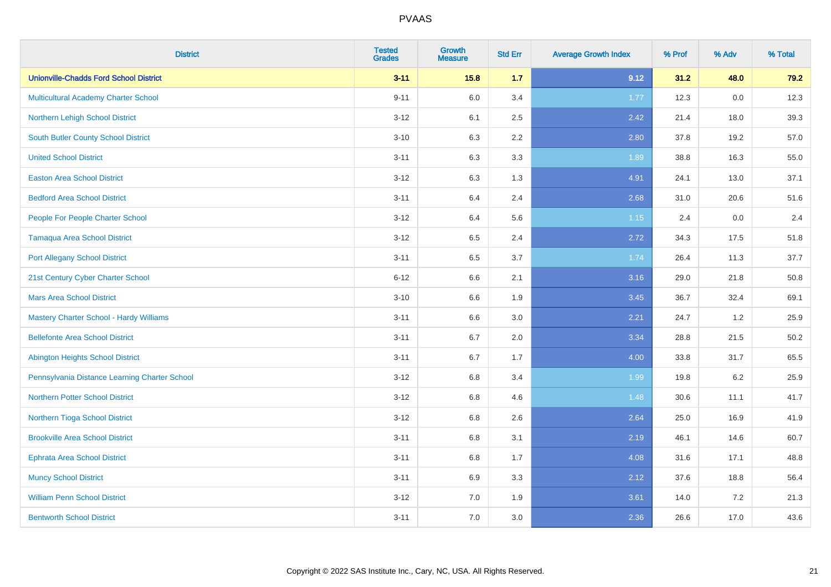| <b>District</b>                                | <b>Tested</b><br><b>Grades</b> | <b>Growth</b><br><b>Measure</b> | <b>Std Err</b> | <b>Average Growth Index</b> | % Prof | % Adv   | % Total |
|------------------------------------------------|--------------------------------|---------------------------------|----------------|-----------------------------|--------|---------|---------|
| <b>Unionville-Chadds Ford School District</b>  | $3 - 11$                       | 15.8                            | 1.7            | 9.12                        | 31.2   | 48.0    | 79.2    |
| Multicultural Academy Charter School           | $9 - 11$                       | 6.0                             | 3.4            | 1.77                        | 12.3   | $0.0\,$ | 12.3    |
| Northern Lehigh School District                | $3 - 12$                       | 6.1                             | 2.5            | 2.42                        | 21.4   | 18.0    | 39.3    |
| South Butler County School District            | $3 - 10$                       | 6.3                             | 2.2            | 2.80                        | 37.8   | 19.2    | 57.0    |
| <b>United School District</b>                  | $3 - 11$                       | 6.3                             | 3.3            | 1.89                        | 38.8   | 16.3    | 55.0    |
| <b>Easton Area School District</b>             | $3 - 12$                       | 6.3                             | 1.3            | 4.91                        | 24.1   | 13.0    | 37.1    |
| <b>Bedford Area School District</b>            | $3 - 11$                       | 6.4                             | 2.4            | 2.68                        | 31.0   | 20.6    | 51.6    |
| People For People Charter School               | $3 - 12$                       | 6.4                             | 5.6            | 1.15                        | 2.4    | 0.0     | 2.4     |
| <b>Tamaqua Area School District</b>            | $3 - 12$                       | 6.5                             | 2.4            | 2.72                        | 34.3   | 17.5    | 51.8    |
| <b>Port Allegany School District</b>           | $3 - 11$                       | 6.5                             | 3.7            | 1.74                        | 26.4   | 11.3    | 37.7    |
| 21st Century Cyber Charter School              | $6 - 12$                       | 6.6                             | 2.1            | 3.16                        | 29.0   | 21.8    | 50.8    |
| <b>Mars Area School District</b>               | $3 - 10$                       | 6.6                             | 1.9            | 3.45                        | 36.7   | 32.4    | 69.1    |
| <b>Mastery Charter School - Hardy Williams</b> | $3 - 11$                       | 6.6                             | 3.0            | 2.21                        | 24.7   | $1.2$   | 25.9    |
| <b>Bellefonte Area School District</b>         | $3 - 11$                       | 6.7                             | 2.0            | 3.34                        | 28.8   | 21.5    | 50.2    |
| <b>Abington Heights School District</b>        | $3 - 11$                       | 6.7                             | 1.7            | 4.00                        | 33.8   | 31.7    | 65.5    |
| Pennsylvania Distance Learning Charter School  | $3-12$                         | 6.8                             | 3.4            | 1.99                        | 19.8   | $6.2\,$ | 25.9    |
| <b>Northern Potter School District</b>         | $3-12$                         | 6.8                             | 4.6            | 1.48                        | 30.6   | 11.1    | 41.7    |
| Northern Tioga School District                 | $3 - 12$                       | 6.8                             | 2.6            | 2.64                        | 25.0   | 16.9    | 41.9    |
| <b>Brookville Area School District</b>         | $3 - 11$                       | 6.8                             | 3.1            | 2.19                        | 46.1   | 14.6    | 60.7    |
| Ephrata Area School District                   | $3 - 11$                       | 6.8                             | 1.7            | 4.08                        | 31.6   | 17.1    | 48.8    |
| <b>Muncy School District</b>                   | $3 - 11$                       | 6.9                             | 3.3            | 2.12                        | 37.6   | 18.8    | 56.4    |
| <b>William Penn School District</b>            | $3 - 12$                       | 7.0                             | 1.9            | 3.61                        | 14.0   | 7.2     | 21.3    |
| <b>Bentworth School District</b>               | $3 - 11$                       | 7.0                             | 3.0            | 2.36                        | 26.6   | 17.0    | 43.6    |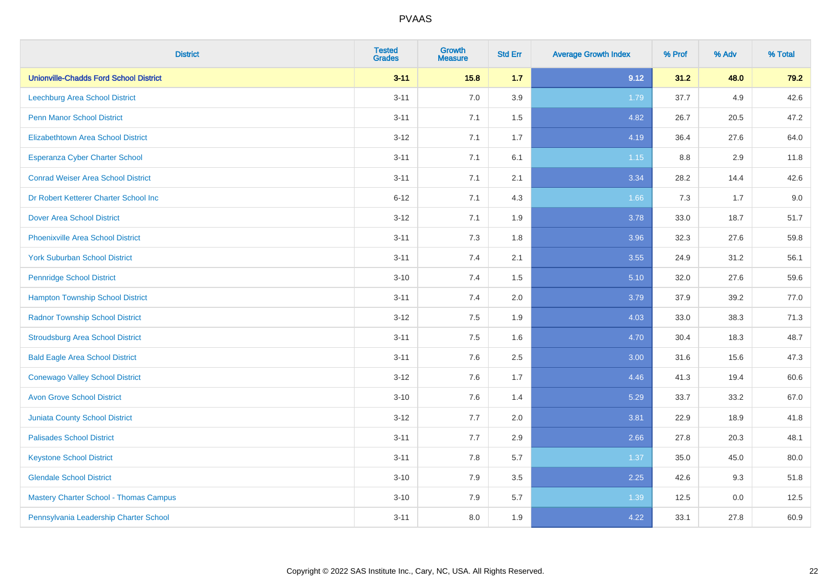| <b>District</b>                               | <b>Tested</b><br><b>Grades</b> | <b>Growth</b><br><b>Measure</b> | <b>Std Err</b> | <b>Average Growth Index</b> | % Prof | % Adv | % Total |
|-----------------------------------------------|--------------------------------|---------------------------------|----------------|-----------------------------|--------|-------|---------|
| <b>Unionville-Chadds Ford School District</b> | $3 - 11$                       | 15.8                            | 1.7            | 9.12                        | 31.2   | 48.0  | 79.2    |
| Leechburg Area School District                | $3 - 11$                       | 7.0                             | 3.9            | 1.79                        | 37.7   | 4.9   | 42.6    |
| <b>Penn Manor School District</b>             | $3 - 11$                       | 7.1                             | 1.5            | 4.82                        | 26.7   | 20.5  | 47.2    |
| <b>Elizabethtown Area School District</b>     | $3 - 12$                       | 7.1                             | 1.7            | 4.19                        | 36.4   | 27.6  | 64.0    |
| <b>Esperanza Cyber Charter School</b>         | $3 - 11$                       | 7.1                             | 6.1            | $1.15$                      | 8.8    | 2.9   | 11.8    |
| <b>Conrad Weiser Area School District</b>     | $3 - 11$                       | 7.1                             | 2.1            | 3.34                        | 28.2   | 14.4  | 42.6    |
| Dr Robert Ketterer Charter School Inc         | $6 - 12$                       | 7.1                             | 4.3            | 1.66                        | 7.3    | 1.7   | 9.0     |
| <b>Dover Area School District</b>             | $3 - 12$                       | 7.1                             | 1.9            | 3.78                        | 33.0   | 18.7  | 51.7    |
| <b>Phoenixville Area School District</b>      | $3 - 11$                       | 7.3                             | 1.8            | 3.96                        | 32.3   | 27.6  | 59.8    |
| <b>York Suburban School District</b>          | $3 - 11$                       | 7.4                             | 2.1            | 3.55                        | 24.9   | 31.2  | 56.1    |
| <b>Pennridge School District</b>              | $3 - 10$                       | 7.4                             | 1.5            | 5.10                        | 32.0   | 27.6  | 59.6    |
| <b>Hampton Township School District</b>       | $3 - 11$                       | 7.4                             | 2.0            | 3.79                        | 37.9   | 39.2  | 77.0    |
| <b>Radnor Township School District</b>        | $3 - 12$                       | 7.5                             | 1.9            | 4.03                        | 33.0   | 38.3  | 71.3    |
| <b>Stroudsburg Area School District</b>       | $3 - 11$                       | 7.5                             | 1.6            | 4.70                        | 30.4   | 18.3  | 48.7    |
| <b>Bald Eagle Area School District</b>        | $3 - 11$                       | 7.6                             | 2.5            | 3.00                        | 31.6   | 15.6  | 47.3    |
| <b>Conewago Valley School District</b>        | $3 - 12$                       | 7.6                             | 1.7            | 4.46                        | 41.3   | 19.4  | 60.6    |
| <b>Avon Grove School District</b>             | $3 - 10$                       | 7.6                             | 1.4            | 5.29                        | 33.7   | 33.2  | 67.0    |
| <b>Juniata County School District</b>         | $3 - 12$                       | 7.7                             | 2.0            | 3.81                        | 22.9   | 18.9  | 41.8    |
| <b>Palisades School District</b>              | $3 - 11$                       | 7.7                             | 2.9            | 2.66                        | 27.8   | 20.3  | 48.1    |
| <b>Keystone School District</b>               | $3 - 11$                       | 7.8                             | 5.7            | 1.37                        | 35.0   | 45.0  | 80.0    |
| <b>Glendale School District</b>               | $3 - 10$                       | 7.9                             | $3.5\,$        | 2.25                        | 42.6   | 9.3   | 51.8    |
| <b>Mastery Charter School - Thomas Campus</b> | $3 - 10$                       | 7.9                             | 5.7            | 1.39                        | 12.5   | 0.0   | 12.5    |
| Pennsylvania Leadership Charter School        | $3 - 11$                       | 8.0                             | 1.9            | 4.22                        | 33.1   | 27.8  | 60.9    |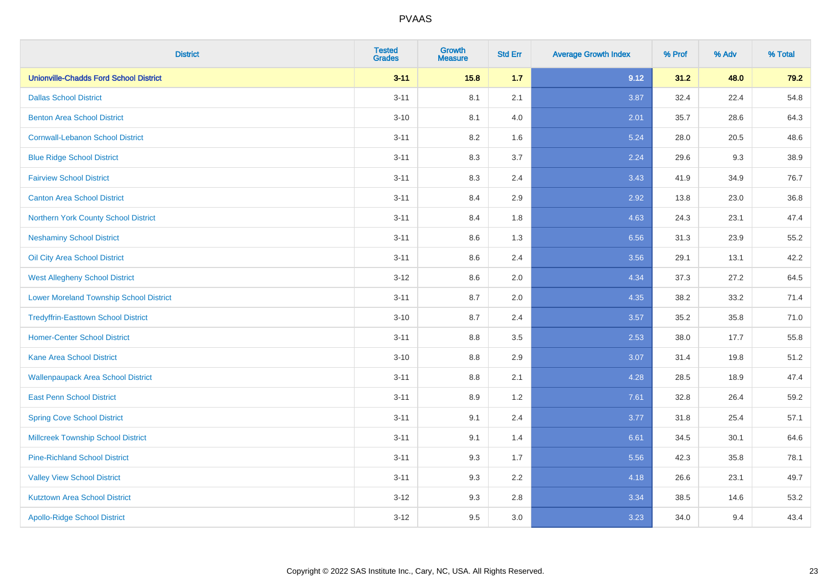| <b>District</b>                                | <b>Tested</b><br><b>Grades</b> | <b>Growth</b><br><b>Measure</b> | <b>Std Err</b> | <b>Average Growth Index</b> | % Prof | % Adv | % Total |
|------------------------------------------------|--------------------------------|---------------------------------|----------------|-----------------------------|--------|-------|---------|
| <b>Unionville-Chadds Ford School District</b>  | $3 - 11$                       | 15.8                            | 1.7            | 9.12                        | 31.2   | 48.0  | 79.2    |
| <b>Dallas School District</b>                  | $3 - 11$                       | 8.1                             | 2.1            | 3.87                        | 32.4   | 22.4  | 54.8    |
| <b>Benton Area School District</b>             | $3 - 10$                       | 8.1                             | 4.0            | 2.01                        | 35.7   | 28.6  | 64.3    |
| <b>Cornwall-Lebanon School District</b>        | $3 - 11$                       | 8.2                             | 1.6            | 5.24                        | 28.0   | 20.5  | 48.6    |
| <b>Blue Ridge School District</b>              | $3 - 11$                       | 8.3                             | 3.7            | 2.24                        | 29.6   | 9.3   | 38.9    |
| <b>Fairview School District</b>                | $3 - 11$                       | 8.3                             | 2.4            | 3.43                        | 41.9   | 34.9  | 76.7    |
| <b>Canton Area School District</b>             | $3 - 11$                       | 8.4                             | 2.9            | 2.92                        | 13.8   | 23.0  | 36.8    |
| Northern York County School District           | $3 - 11$                       | 8.4                             | 1.8            | 4.63                        | 24.3   | 23.1  | 47.4    |
| <b>Neshaminy School District</b>               | $3 - 11$                       | 8.6                             | 1.3            | 6.56                        | 31.3   | 23.9  | 55.2    |
| Oil City Area School District                  | $3 - 11$                       | 8.6                             | 2.4            | 3.56                        | 29.1   | 13.1  | 42.2    |
| <b>West Allegheny School District</b>          | $3-12$                         | 8.6                             | 2.0            | 4.34                        | 37.3   | 27.2  | 64.5    |
| <b>Lower Moreland Township School District</b> | $3 - 11$                       | 8.7                             | 2.0            | 4.35                        | 38.2   | 33.2  | 71.4    |
| <b>Tredyffrin-Easttown School District</b>     | $3 - 10$                       | 8.7                             | 2.4            | 3.57                        | 35.2   | 35.8  | 71.0    |
| <b>Homer-Center School District</b>            | $3 - 11$                       | 8.8                             | $3.5\,$        | 2.53                        | 38.0   | 17.7  | 55.8    |
| Kane Area School District                      | $3 - 10$                       | 8.8                             | 2.9            | 3.07                        | 31.4   | 19.8  | 51.2    |
| <b>Wallenpaupack Area School District</b>      | $3 - 11$                       | 8.8                             | 2.1            | 4.28                        | 28.5   | 18.9  | 47.4    |
| <b>East Penn School District</b>               | $3 - 11$                       | 8.9                             | 1.2            | 7.61                        | 32.8   | 26.4  | 59.2    |
| <b>Spring Cove School District</b>             | $3 - 11$                       | 9.1                             | 2.4            | 3.77                        | 31.8   | 25.4  | 57.1    |
| <b>Millcreek Township School District</b>      | $3 - 11$                       | 9.1                             | 1.4            | 6.61                        | 34.5   | 30.1  | 64.6    |
| <b>Pine-Richland School District</b>           | $3 - 11$                       | 9.3                             | 1.7            | 5.56                        | 42.3   | 35.8  | 78.1    |
| <b>Valley View School District</b>             | $3 - 11$                       | 9.3                             | 2.2            | 4.18                        | 26.6   | 23.1  | 49.7    |
| <b>Kutztown Area School District</b>           | $3 - 12$                       | 9.3                             | 2.8            | 3.34                        | 38.5   | 14.6  | 53.2    |
| <b>Apollo-Ridge School District</b>            | $3-12$                         | 9.5                             | 3.0            | 3.23                        | 34.0   | 9.4   | 43.4    |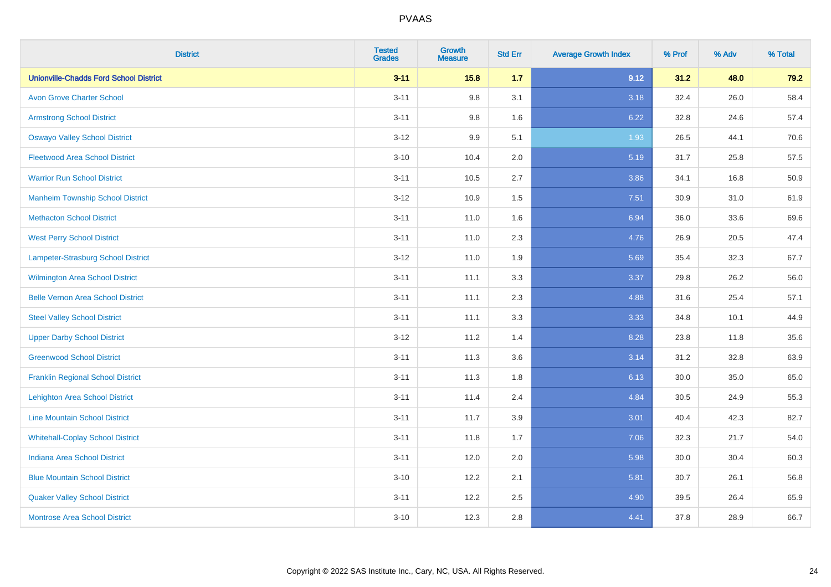| <b>District</b>                               | <b>Tested</b><br><b>Grades</b> | <b>Growth</b><br><b>Measure</b> | <b>Std Err</b> | <b>Average Growth Index</b> | % Prof | % Adv | % Total |
|-----------------------------------------------|--------------------------------|---------------------------------|----------------|-----------------------------|--------|-------|---------|
| <b>Unionville-Chadds Ford School District</b> | $3 - 11$                       | 15.8                            | 1.7            | 9.12                        | 31.2   | 48.0  | 79.2    |
| <b>Avon Grove Charter School</b>              | $3 - 11$                       | 9.8                             | 3.1            | 3.18                        | 32.4   | 26.0  | 58.4    |
| <b>Armstrong School District</b>              | $3 - 11$                       | 9.8                             | 1.6            | 6.22                        | 32.8   | 24.6  | 57.4    |
| <b>Oswayo Valley School District</b>          | $3 - 12$                       | 9.9                             | 5.1            | 1.93                        | 26.5   | 44.1  | 70.6    |
| <b>Fleetwood Area School District</b>         | $3 - 10$                       | 10.4                            | 2.0            | 5.19                        | 31.7   | 25.8  | 57.5    |
| <b>Warrior Run School District</b>            | $3 - 11$                       | 10.5                            | 2.7            | 3.86                        | 34.1   | 16.8  | 50.9    |
| <b>Manheim Township School District</b>       | $3 - 12$                       | 10.9                            | 1.5            | 7.51                        | 30.9   | 31.0  | 61.9    |
| <b>Methacton School District</b>              | $3 - 11$                       | 11.0                            | 1.6            | 6.94                        | 36.0   | 33.6  | 69.6    |
| <b>West Perry School District</b>             | $3 - 11$                       | 11.0                            | 2.3            | 4.76                        | 26.9   | 20.5  | 47.4    |
| Lampeter-Strasburg School District            | $3-12$                         | 11.0                            | 1.9            | 5.69                        | 35.4   | 32.3  | 67.7    |
| <b>Wilmington Area School District</b>        | $3 - 11$                       | 11.1                            | 3.3            | 3.37                        | 29.8   | 26.2  | 56.0    |
| <b>Belle Vernon Area School District</b>      | $3 - 11$                       | 11.1                            | 2.3            | 4.88                        | 31.6   | 25.4  | 57.1    |
| <b>Steel Valley School District</b>           | $3 - 11$                       | 11.1                            | 3.3            | 3.33                        | 34.8   | 10.1  | 44.9    |
| <b>Upper Darby School District</b>            | $3 - 12$                       | 11.2                            | 1.4            | 8.28                        | 23.8   | 11.8  | 35.6    |
| <b>Greenwood School District</b>              | $3 - 11$                       | 11.3                            | 3.6            | 3.14                        | 31.2   | 32.8  | 63.9    |
| <b>Franklin Regional School District</b>      | $3 - 11$                       | 11.3                            | 1.8            | 6.13                        | 30.0   | 35.0  | 65.0    |
| <b>Lehighton Area School District</b>         | $3 - 11$                       | 11.4                            | 2.4            | 4.84                        | 30.5   | 24.9  | 55.3    |
| <b>Line Mountain School District</b>          | $3 - 11$                       | 11.7                            | 3.9            | 3.01                        | 40.4   | 42.3  | 82.7    |
| <b>Whitehall-Coplay School District</b>       | $3 - 11$                       | 11.8                            | 1.7            | 7.06                        | 32.3   | 21.7  | 54.0    |
| <b>Indiana Area School District</b>           | $3 - 11$                       | 12.0                            | 2.0            | 5.98                        | 30.0   | 30.4  | 60.3    |
| <b>Blue Mountain School District</b>          | $3 - 10$                       | 12.2                            | 2.1            | 5.81                        | 30.7   | 26.1  | 56.8    |
| <b>Quaker Valley School District</b>          | $3 - 11$                       | 12.2                            | 2.5            | 4.90                        | 39.5   | 26.4  | 65.9    |
| <b>Montrose Area School District</b>          | $3 - 10$                       | 12.3                            | $2.8\,$        | 4.41                        | 37.8   | 28.9  | 66.7    |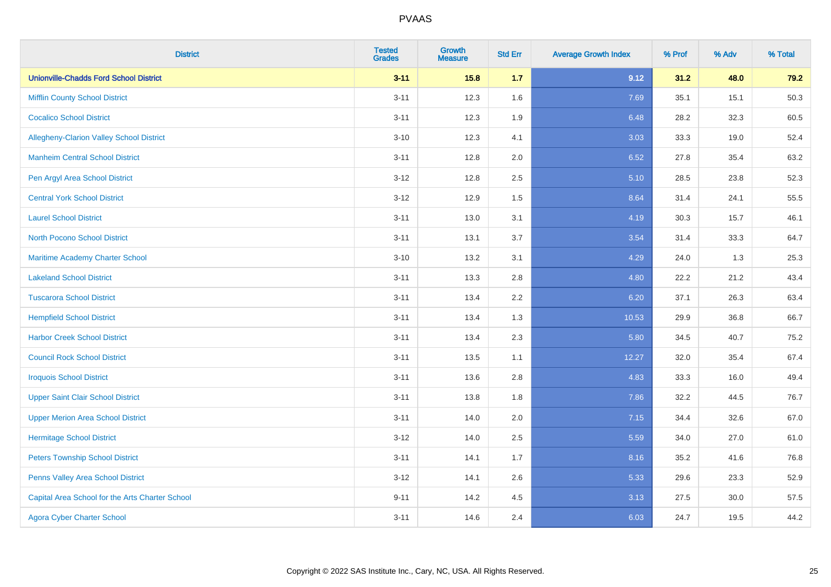| <b>District</b>                                 | <b>Tested</b><br><b>Grades</b> | <b>Growth</b><br><b>Measure</b> | <b>Std Err</b> | <b>Average Growth Index</b> | % Prof | % Adv | % Total |
|-------------------------------------------------|--------------------------------|---------------------------------|----------------|-----------------------------|--------|-------|---------|
| <b>Unionville-Chadds Ford School District</b>   | $3 - 11$                       | 15.8                            | 1.7            | 9.12                        | 31.2   | 48.0  | 79.2    |
| <b>Mifflin County School District</b>           | $3 - 11$                       | 12.3                            | 1.6            | 7.69                        | 35.1   | 15.1  | 50.3    |
| <b>Cocalico School District</b>                 | $3 - 11$                       | 12.3                            | 1.9            | 6.48                        | 28.2   | 32.3  | 60.5    |
| Allegheny-Clarion Valley School District        | $3 - 10$                       | 12.3                            | 4.1            | 3.03                        | 33.3   | 19.0  | 52.4    |
| <b>Manheim Central School District</b>          | $3 - 11$                       | 12.8                            | 2.0            | 6.52                        | 27.8   | 35.4  | 63.2    |
| Pen Argyl Area School District                  | $3 - 12$                       | 12.8                            | 2.5            | 5.10                        | 28.5   | 23.8  | 52.3    |
| <b>Central York School District</b>             | $3 - 12$                       | 12.9                            | 1.5            | 8.64                        | 31.4   | 24.1  | 55.5    |
| <b>Laurel School District</b>                   | $3 - 11$                       | 13.0                            | 3.1            | 4.19                        | 30.3   | 15.7  | 46.1    |
| <b>North Pocono School District</b>             | $3 - 11$                       | 13.1                            | 3.7            | 3.54                        | 31.4   | 33.3  | 64.7    |
| Maritime Academy Charter School                 | $3 - 10$                       | 13.2                            | 3.1            | 4.29                        | 24.0   | 1.3   | 25.3    |
| <b>Lakeland School District</b>                 | $3 - 11$                       | 13.3                            | 2.8            | 4.80                        | 22.2   | 21.2  | 43.4    |
| <b>Tuscarora School District</b>                | $3 - 11$                       | 13.4                            | 2.2            | 6.20                        | 37.1   | 26.3  | 63.4    |
| <b>Hempfield School District</b>                | $3 - 11$                       | 13.4                            | 1.3            | 10.53                       | 29.9   | 36.8  | 66.7    |
| <b>Harbor Creek School District</b>             | $3 - 11$                       | 13.4                            | 2.3            | 5.80                        | 34.5   | 40.7  | 75.2    |
| <b>Council Rock School District</b>             | $3 - 11$                       | 13.5                            | 1.1            | 12.27                       | 32.0   | 35.4  | 67.4    |
| <b>Iroquois School District</b>                 | $3 - 11$                       | 13.6                            | 2.8            | 4.83                        | 33.3   | 16.0  | 49.4    |
| <b>Upper Saint Clair School District</b>        | $3 - 11$                       | 13.8                            | 1.8            | 7.86                        | 32.2   | 44.5  | 76.7    |
| <b>Upper Merion Area School District</b>        | $3 - 11$                       | 14.0                            | 2.0            | 7.15                        | 34.4   | 32.6  | 67.0    |
| <b>Hermitage School District</b>                | $3 - 12$                       | 14.0                            | 2.5            | 5.59                        | 34.0   | 27.0  | 61.0    |
| <b>Peters Township School District</b>          | $3 - 11$                       | 14.1                            | 1.7            | 8.16                        | 35.2   | 41.6  | 76.8    |
| Penns Valley Area School District               | $3 - 12$                       | 14.1                            | 2.6            | 5.33                        | 29.6   | 23.3  | 52.9    |
| Capital Area School for the Arts Charter School | $9 - 11$                       | 14.2                            | 4.5            | 3.13                        | 27.5   | 30.0  | 57.5    |
| <b>Agora Cyber Charter School</b>               | $3 - 11$                       | 14.6                            | 2.4            | 6.03                        | 24.7   | 19.5  | 44.2    |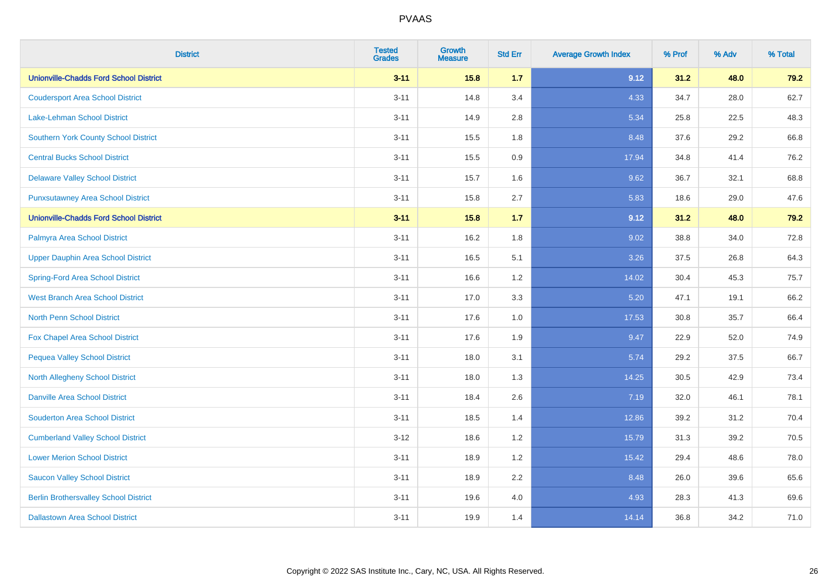| <b>District</b>                               | <b>Tested</b><br><b>Grades</b> | <b>Growth</b><br><b>Measure</b> | <b>Std Err</b> | <b>Average Growth Index</b> | % Prof | % Adv | % Total |
|-----------------------------------------------|--------------------------------|---------------------------------|----------------|-----------------------------|--------|-------|---------|
| <b>Unionville-Chadds Ford School District</b> | $3 - 11$                       | 15.8                            | 1.7            | 9.12                        | 31.2   | 48.0  | 79.2    |
| <b>Coudersport Area School District</b>       | $3 - 11$                       | 14.8                            | 3.4            | 4.33                        | 34.7   | 28.0  | 62.7    |
| Lake-Lehman School District                   | $3 - 11$                       | 14.9                            | 2.8            | 5.34                        | 25.8   | 22.5  | 48.3    |
| <b>Southern York County School District</b>   | $3 - 11$                       | 15.5                            | 1.8            | 8.48                        | 37.6   | 29.2  | 66.8    |
| <b>Central Bucks School District</b>          | $3 - 11$                       | 15.5                            | 0.9            | 17.94                       | 34.8   | 41.4  | 76.2    |
| <b>Delaware Valley School District</b>        | $3 - 11$                       | 15.7                            | 1.6            | 9.62                        | 36.7   | 32.1  | 68.8    |
| <b>Punxsutawney Area School District</b>      | $3 - 11$                       | 15.8                            | 2.7            | 5.83                        | 18.6   | 29.0  | 47.6    |
| <b>Unionville-Chadds Ford School District</b> | $3 - 11$                       | 15.8                            | $1.7$          | 9.12                        | 31.2   | 48.0  | 79.2    |
| Palmyra Area School District                  | $3 - 11$                       | 16.2                            | 1.8            | 9.02                        | 38.8   | 34.0  | 72.8    |
| <b>Upper Dauphin Area School District</b>     | $3 - 11$                       | 16.5                            | 5.1            | 3.26                        | 37.5   | 26.8  | 64.3    |
| <b>Spring-Ford Area School District</b>       | $3 - 11$                       | 16.6                            | 1.2            | 14.02                       | 30.4   | 45.3  | 75.7    |
| <b>West Branch Area School District</b>       | $3 - 11$                       | 17.0                            | 3.3            | 5.20                        | 47.1   | 19.1  | 66.2    |
| North Penn School District                    | $3 - 11$                       | 17.6                            | 1.0            | 17.53                       | 30.8   | 35.7  | 66.4    |
| Fox Chapel Area School District               | $3 - 11$                       | 17.6                            | 1.9            | 9.47                        | 22.9   | 52.0  | 74.9    |
| <b>Pequea Valley School District</b>          | $3 - 11$                       | 18.0                            | 3.1            | 5.74                        | 29.2   | 37.5  | 66.7    |
| North Allegheny School District               | $3 - 11$                       | 18.0                            | 1.3            | 14.25                       | 30.5   | 42.9  | 73.4    |
| <b>Danville Area School District</b>          | $3 - 11$                       | 18.4                            | 2.6            | 7.19                        | 32.0   | 46.1  | 78.1    |
| <b>Souderton Area School District</b>         | $3 - 11$                       | 18.5                            | 1.4            | 12.86                       | 39.2   | 31.2  | 70.4    |
| <b>Cumberland Valley School District</b>      | $3 - 12$                       | 18.6                            | 1.2            | 15.79                       | 31.3   | 39.2  | 70.5    |
| <b>Lower Merion School District</b>           | $3 - 11$                       | 18.9                            | 1.2            | 15.42                       | 29.4   | 48.6  | 78.0    |
| <b>Saucon Valley School District</b>          | $3 - 11$                       | 18.9                            | 2.2            | 8.48                        | 26.0   | 39.6  | 65.6    |
| <b>Berlin Brothersvalley School District</b>  | $3 - 11$                       | 19.6                            | 4.0            | 4.93                        | 28.3   | 41.3  | 69.6    |
| <b>Dallastown Area School District</b>        | $3 - 11$                       | 19.9                            | 1.4            | 14.14                       | 36.8   | 34.2  | 71.0    |